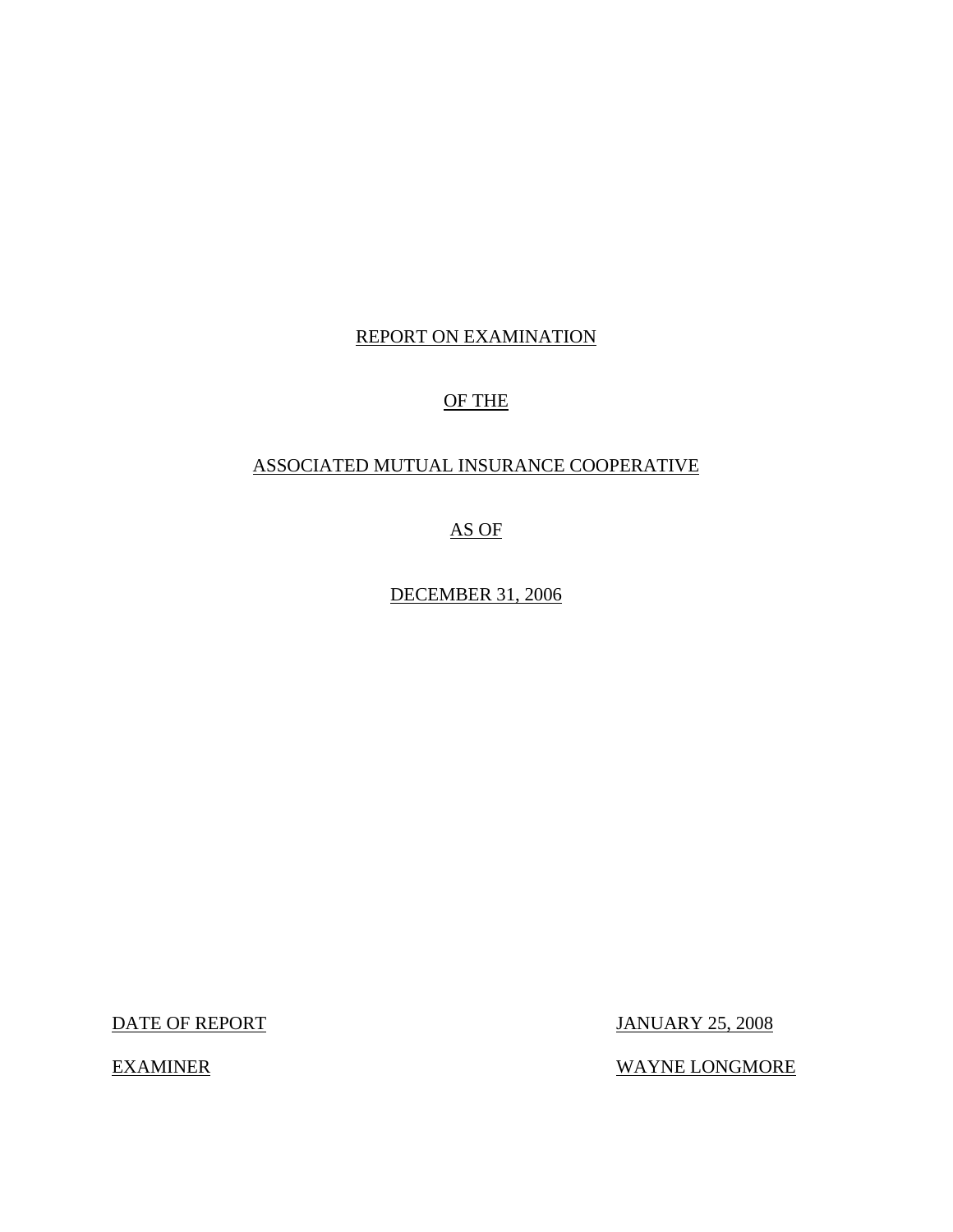# REPORT ON EXAMINATION

# OF THE

# ASSOCIATED MUTUAL INSURANCE COOPERATIVE

AS OF

DECEMBER 31, 2006

DATE OF REPORT JANUARY 25, 2008

EXAMINER WAYNE LONGMORE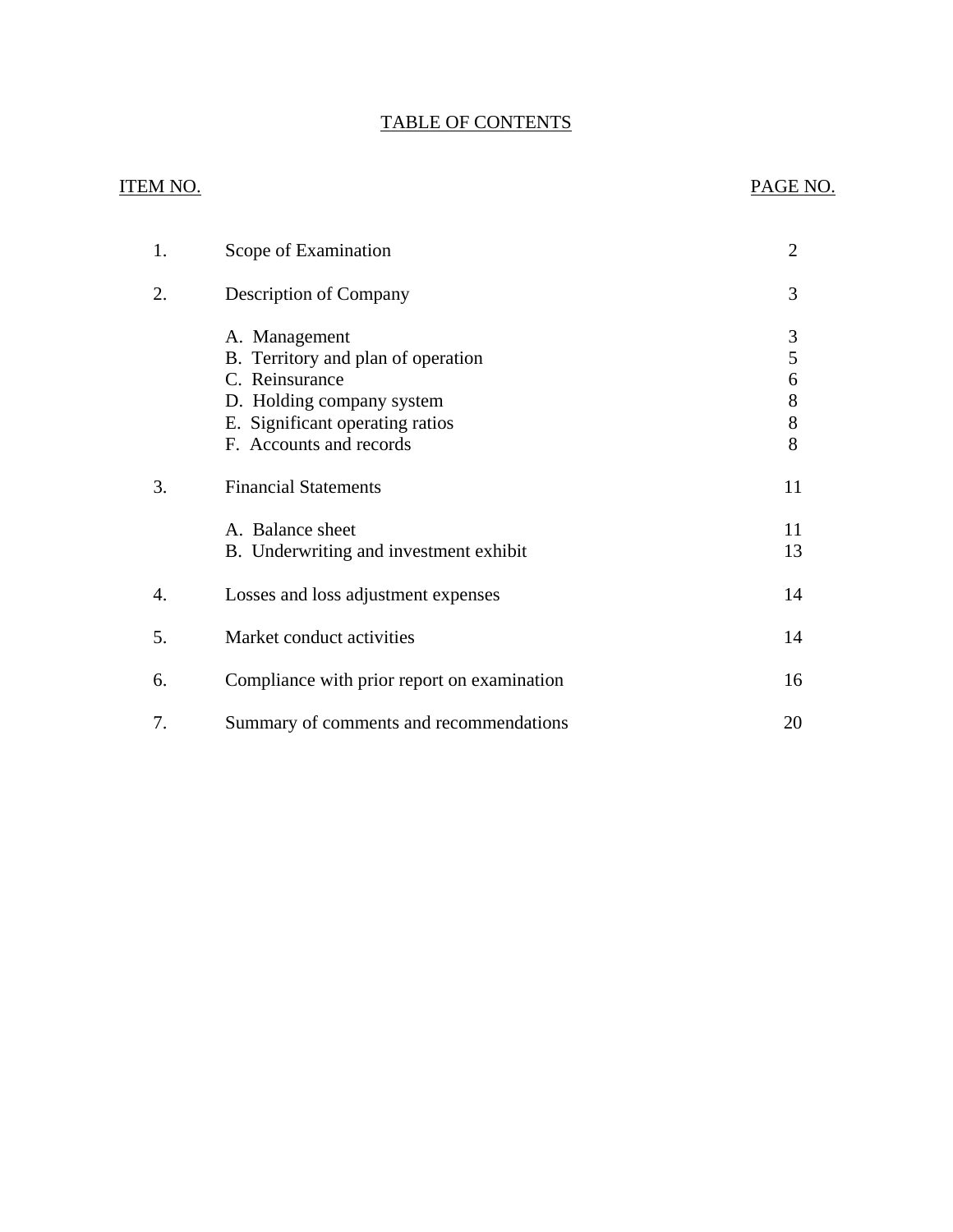# TABLE OF CONTENTS

## ITEM NO. PAGE NO.

| 1. | Scope of Examination                                                                                                                                             | 2                              |
|----|------------------------------------------------------------------------------------------------------------------------------------------------------------------|--------------------------------|
| 2. | <b>Description of Company</b>                                                                                                                                    | 3                              |
|    | A. Management<br>B. Territory and plan of operation<br>C. Reinsurance<br>D. Holding company system<br>E. Significant operating ratios<br>F. Accounts and records | 3<br>5<br>6<br>8<br>$8\,$<br>8 |
| 3. | <b>Financial Statements</b>                                                                                                                                      | 11                             |
|    | A. Balance sheet<br>B. Underwriting and investment exhibit                                                                                                       | 11<br>13                       |
| 4. | Losses and loss adjustment expenses                                                                                                                              | 14                             |
| 5. | Market conduct activities                                                                                                                                        | 14                             |
| 6. | Compliance with prior report on examination                                                                                                                      | 16                             |
| 7. | Summary of comments and recommendations                                                                                                                          | 20                             |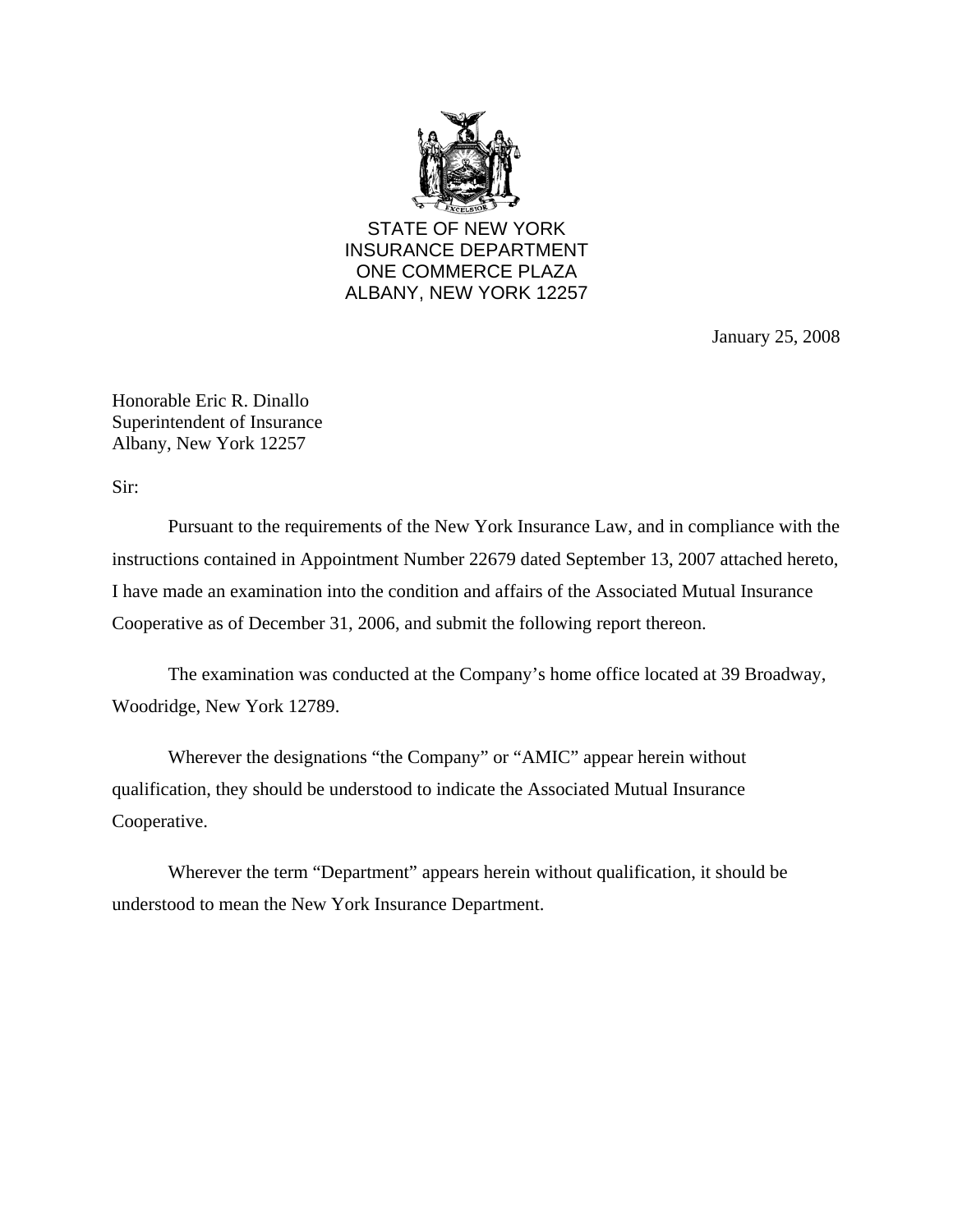

STATE OF NEW YORK INSURANCE DEPARTMENT ONE COMMERCE PLAZA ALBANY, NEW YORK 12257

January 25, 2008

Honorable Eric R. Dinallo Superintendent of Insurance Albany, New York 12257

Sir:

Pursuant to the requirements of the New York Insurance Law, and in compliance with the instructions contained in Appointment Number 22679 dated September 13, 2007 attached hereto, I have made an examination into the condition and affairs of the Associated Mutual Insurance Cooperative as of December 31, 2006, and submit the following report thereon.

The examination was conducted at the Company's home office located at 39 Broadway, Woodridge, New York 12789.

Wherever the designations "the Company" or "AMIC" appear herein without qualification, they should be understood to indicate the Associated Mutual Insurance Cooperative.

Wherever the term "Department" appears herein without qualification, it should be understood to mean the New York Insurance Department.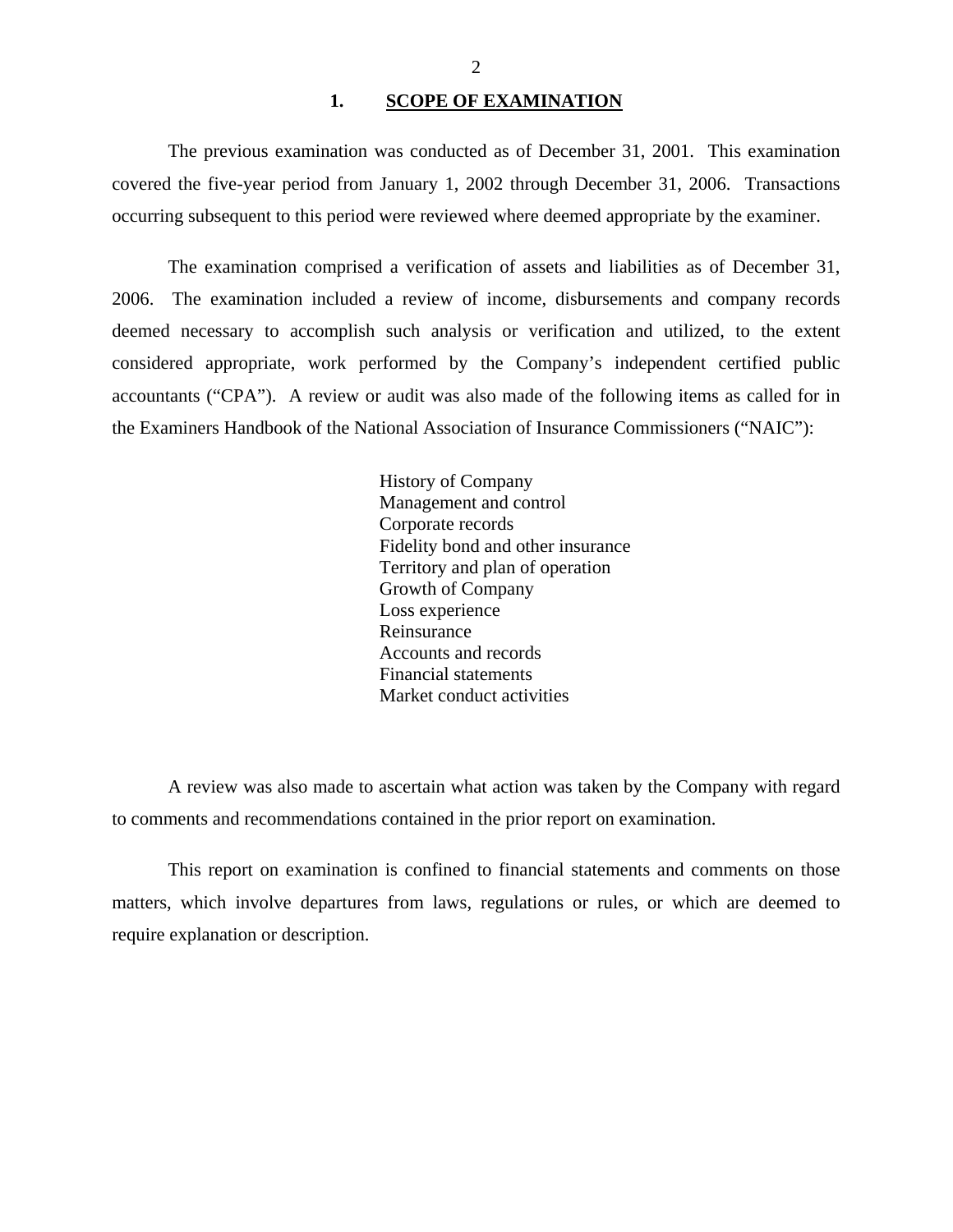### 1. SCOPE OF EXAMINATION

<span id="page-3-0"></span>The previous examination was conducted as of December 31, 2001. This examination covered the five-year period from January 1, 2002 through December 31, 2006. Transactions occurring subsequent to this period were reviewed where deemed appropriate by the examiner.

The examination comprised a verification of assets and liabilities as of December 31, 2006. The examination included a review of income, disbursements and company records deemed necessary to accomplish such analysis or verification and utilized, to the extent considered appropriate, work performed by the Company's independent certified public accountants ("CPA"). A review or audit was also made of the following items as called for in the Examiners Handbook of the National Association of Insurance Commissioners ("NAIC"):

> History of Company Management and control Corporate records Fidelity bond and other insurance Territory and plan of operation Growth of Company Loss experience Reinsurance Accounts and records Financial statements Market conduct activities

A review was also made to ascertain what action was taken by the Company with regard to comments and recommendations contained in the prior report on examination.

This report on examination is confined to financial statements and comments on those matters, which involve departures from laws, regulations or rules, or which are deemed to require explanation or description.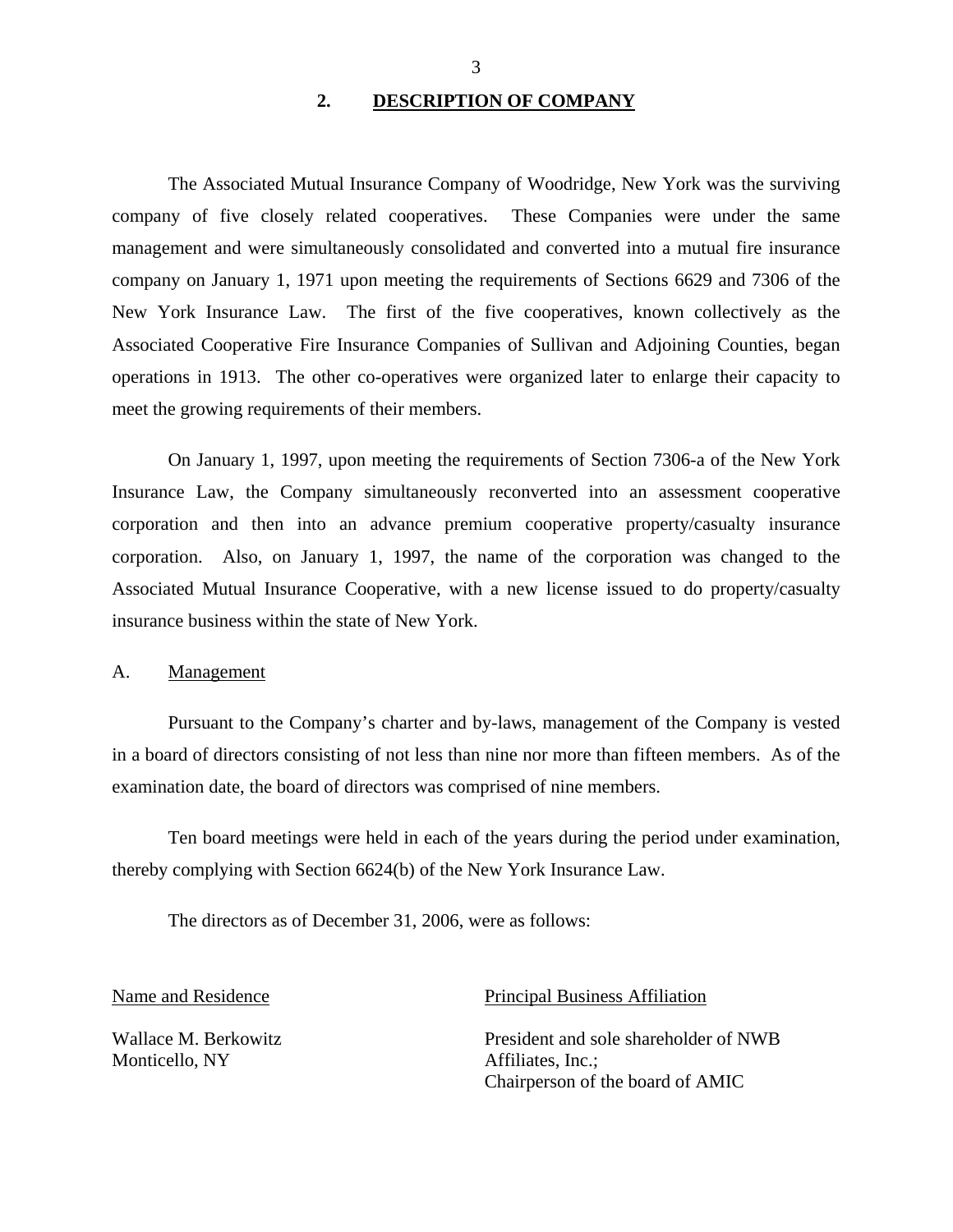### **2. DESCRIPTION OF COMPANY**

<span id="page-4-0"></span>The Associated Mutual Insurance Company of Woodridge, New York was the surviving company of five closely related cooperatives. These Companies were under the same management and were simultaneously consolidated and converted into a mutual fire insurance company on January 1, 1971 upon meeting the requirements of Sections 6629 and 7306 of the New York Insurance Law. The first of the five cooperatives, known collectively as the Associated Cooperative Fire Insurance Companies of Sullivan and Adjoining Counties, began operations in 1913. The other co-operatives were organized later to enlarge their capacity to meet the growing requirements of their members.

On January 1, 1997, upon meeting the requirements of Section 7306-a of the New York Insurance Law, the Company simultaneously reconverted into an assessment cooperative corporation and then into an advance premium cooperative property/casualty insurance corporation. Also, on January 1, 1997, the name of the corporation was changed to the Associated Mutual Insurance Cooperative, with a new license issued to do property/casualty insurance business within the state of New York.

### A. Management

Pursuant to the Company's charter and by-laws, management of the Company is vested in a board of directors consisting of not less than nine nor more than fifteen members. As of the examination date, the board of directors was comprised of nine members.

Ten board meetings were held in each of the years during the period under examination, thereby complying with Section 6624(b) of the New York Insurance Law.

The directors as of December 31, 2006, were as follows:

Monticello, NY Affiliates, Inc.;

Name and Residence **Principal Business Affiliation** 

Wallace M. Berkowitz President and sole shareholder of NWB Chairperson of the board of AMIC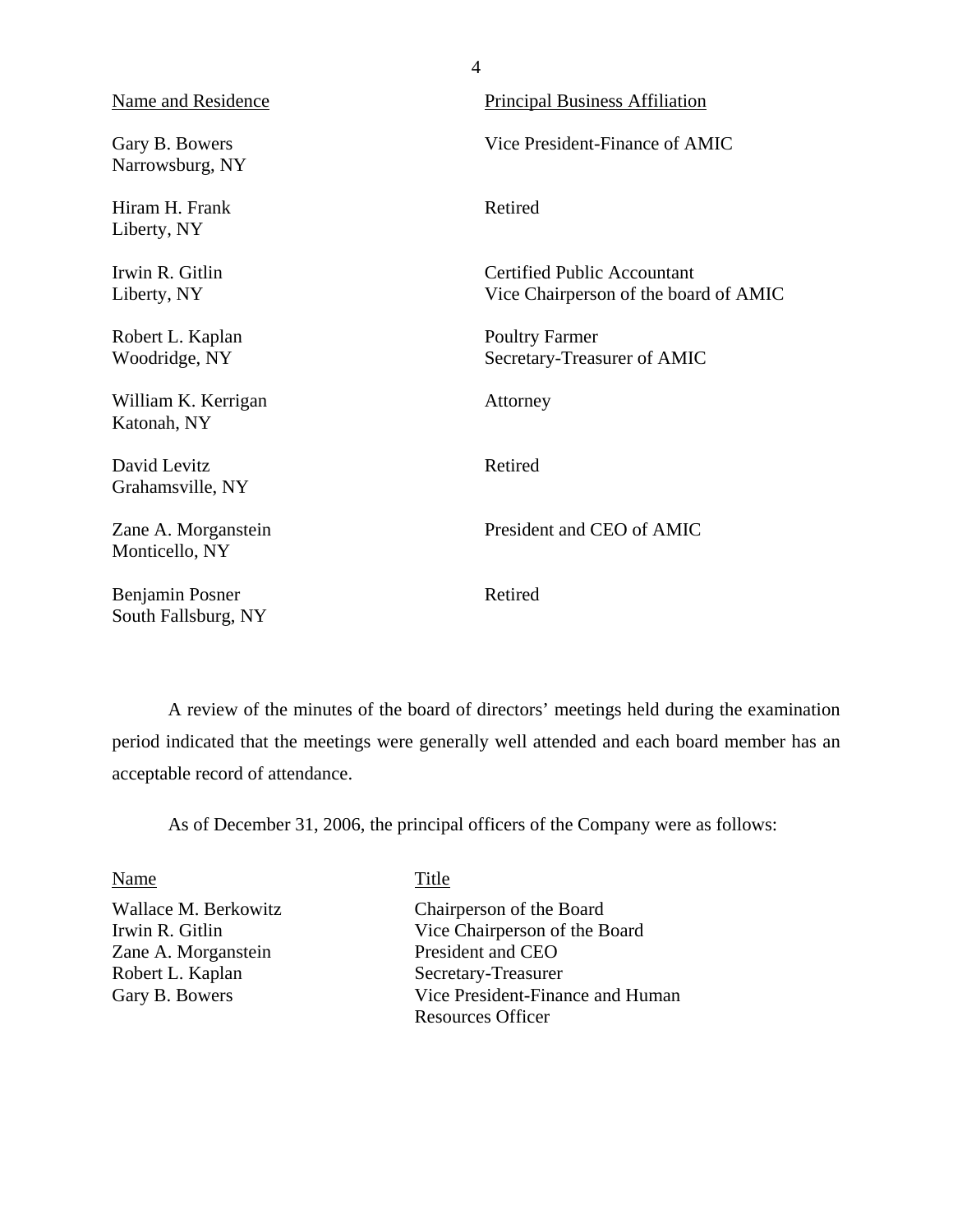| <b>Name and Residence</b>              | <b>Principal Business Affiliation</b>                                       |
|----------------------------------------|-----------------------------------------------------------------------------|
| Gary B. Bowers<br>Narrowsburg, NY      | Vice President-Finance of AMIC                                              |
| Hiram H. Frank<br>Liberty, NY          | Retired                                                                     |
| Irwin R. Gitlin<br>Liberty, NY         | <b>Certified Public Accountant</b><br>Vice Chairperson of the board of AMIC |
| Robert L. Kaplan<br>Woodridge, NY      | <b>Poultry Farmer</b><br>Secretary-Treasurer of AMIC                        |
| William K. Kerrigan<br>Katonah, NY     | Attorney                                                                    |
| David Levitz<br>Grahamsville, NY       | Retired                                                                     |
| Zane A. Morganstein<br>Monticello, NY  | President and CEO of AMIC                                                   |
| Benjamin Posner<br>South Fallsburg, NY | Retired                                                                     |

4

A review of the minutes of the board of directors' meetings held during the examination period indicated that the meetings were generally well attended and each board member has an acceptable record of attendance.

As of December 31, 2006, the principal officers of the Company were as follows:

Zane A. Morganstein Robert L. Kaplan Secretary-Treasurer

### Name Title

Wallace M. Berkowitz Chairperson of the Board Irwin R. Gitlin Vice Chairperson of the Board<br>
Zane A. Morganstein President and CEO Gary B. Bowers Vice President-Finance and Human Resources Officer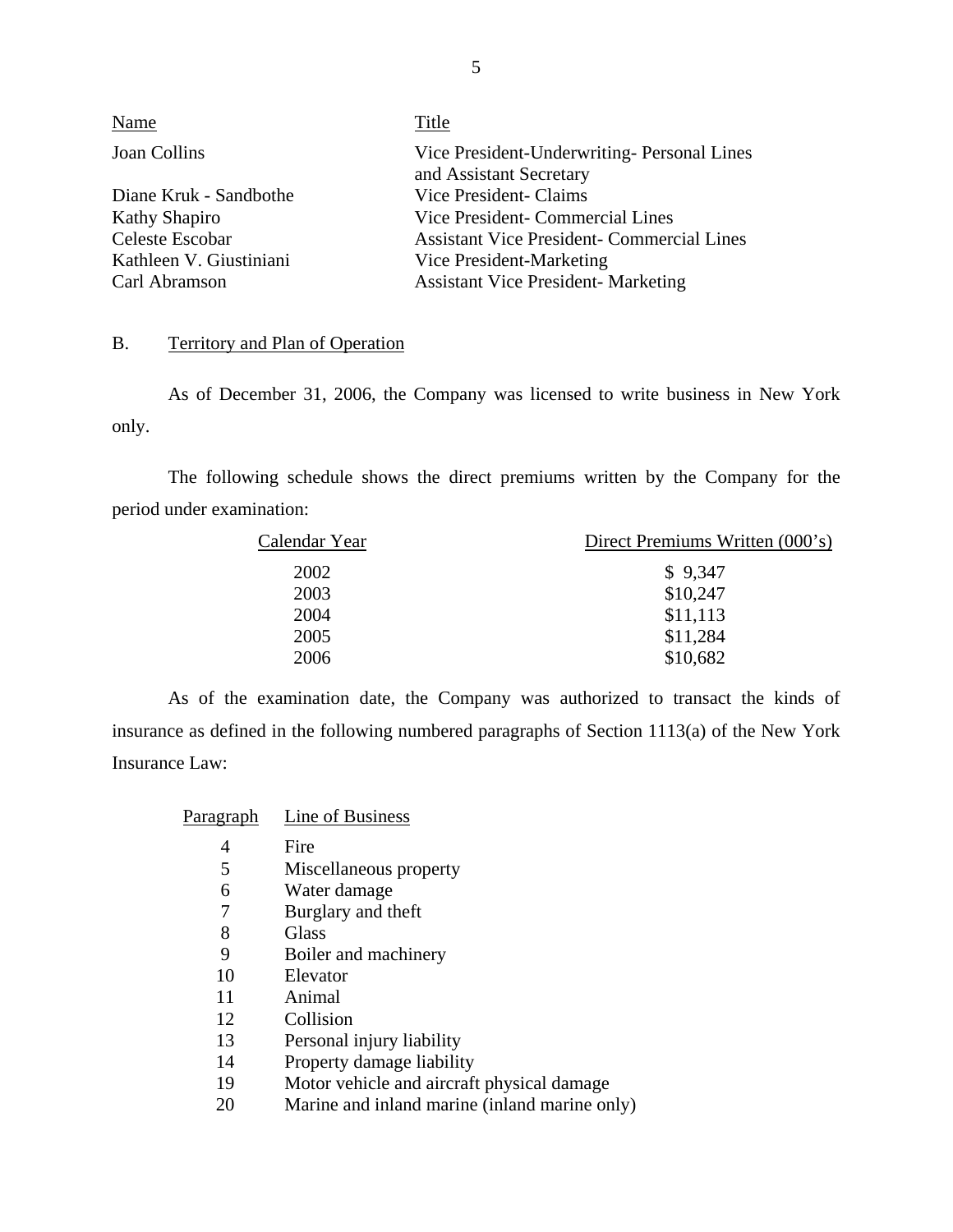<span id="page-6-0"></span>

| Name                    | Title                                                                 |
|-------------------------|-----------------------------------------------------------------------|
| Joan Collins            | Vice President-Underwriting-Personal Lines<br>and Assistant Secretary |
| Diane Kruk - Sandbothe  | Vice President- Claims                                                |
| <b>Kathy Shapiro</b>    | Vice President - Commercial Lines                                     |
| Celeste Escobar         | <b>Assistant Vice President- Commercial Lines</b>                     |
| Kathleen V. Giustiniani | Vice President-Marketing                                              |
| Carl Abramson           | <b>Assistant Vice President- Marketing</b>                            |

## B. Territory and Plan of Operation

As of December 31, 2006, the Company was licensed to write business in New York only.

The following schedule shows the direct premiums written by the Company for the period under examination:

| Calendar Year | Direct Premiums Written (000's) |  |
|---------------|---------------------------------|--|
| 2002          | \$9,347                         |  |
| 2003          | \$10,247                        |  |
| 2004          | \$11,113                        |  |
| 2005          | \$11,284                        |  |
| 2006          | \$10,682                        |  |
|               |                                 |  |

As of the examination date, the Company was authorized to transact the kinds of insurance as defined in the following numbered paragraphs of Section 1113(a) of the New York Insurance Law:

| Paragraph | Line of Business |
|-----------|------------------|
|           |                  |

- 4 Fire
- 5 Miscellaneous property
- 6 Water damage
- 7 Burglary and theft
- 8 Glass
- 9 Boiler and machinery
- 10 Elevator
- 11 Animal
- 12 Collision
- 13 Personal injury liability
- 14 Property damage liability
- 19 Motor vehicle and aircraft physical damage
- 20 Marine and inland marine (inland marine only)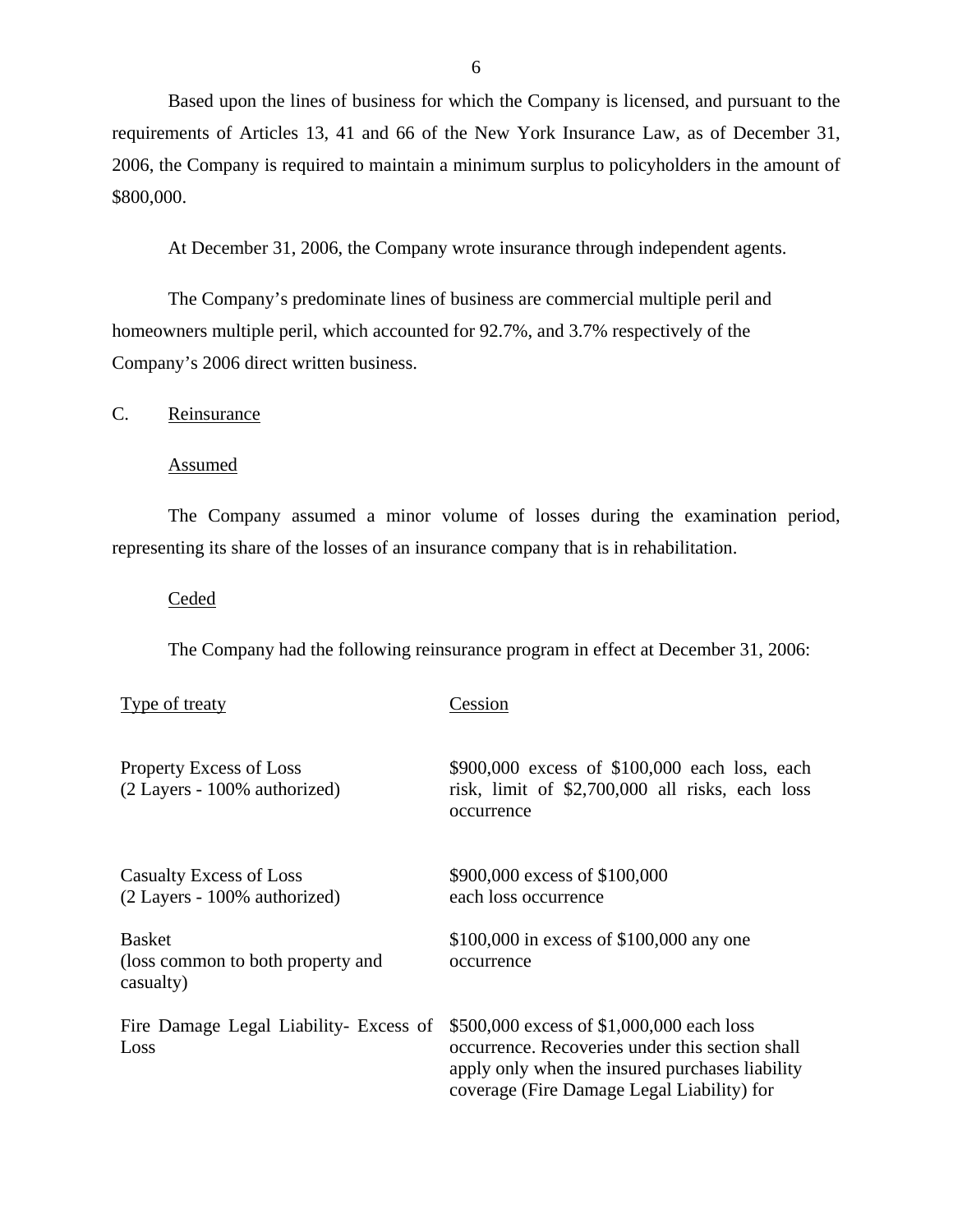<span id="page-7-0"></span>Based upon the lines of business for which the Company is licensed, and pursuant to the requirements of Articles 13, 41 and 66 of the New York Insurance Law, as of December 31, 2006, the Company is required to maintain a minimum surplus to policyholders in the amount of \$800,000.

At December 31, 2006, the Company wrote insurance through independent agents.

The Company's predominate lines of business are commercial multiple peril and homeowners multiple peril, which accounted for 92.7%, and 3.7% respectively of the Company's 2006 direct written business.

C. Reinsurance

Assumed

The Company assumed a minor volume of losses during the examination period, representing its share of the losses of an insurance company that is in rehabilitation.

**Ceded** 

Type of treaty Cession

The Company had the following reinsurance program in effect at December 31, 2006:

| <b>Property Excess of Loss</b><br>(2 Layers - 100% authorized)  | \$900,000 excess of \$100,000 each loss, each<br>risk, limit of $$2,700,000$ all risks, each loss<br>occurrence                                                                               |
|-----------------------------------------------------------------|-----------------------------------------------------------------------------------------------------------------------------------------------------------------------------------------------|
| <b>Casualty Excess of Loss</b><br>(2 Layers - 100% authorized)  | \$900,000 excess of \$100,000<br>each loss occurrence                                                                                                                                         |
| <b>Basket</b><br>(loss common to both property and<br>casualty) | \$100,000 in excess of \$100,000 any one<br>occurrence                                                                                                                                        |
| Fire Damage Legal Liability- Excess of<br>Loss                  | \$500,000 excess of \$1,000,000 each loss<br>occurrence. Recoveries under this section shall<br>apply only when the insured purchases liability<br>coverage (Fire Damage Legal Liability) for |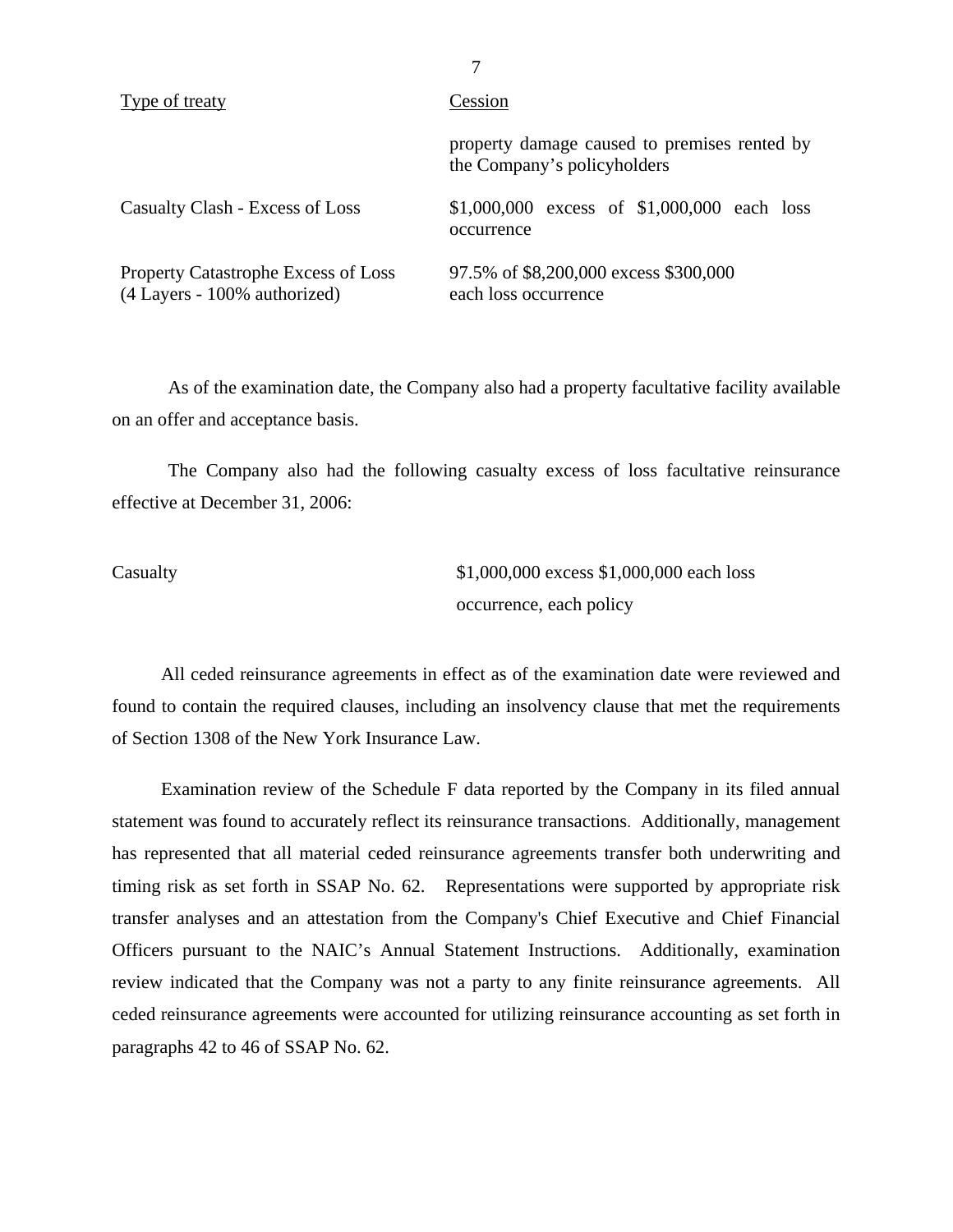| Type of treaty                                                             | Cession                                                                     |
|----------------------------------------------------------------------------|-----------------------------------------------------------------------------|
|                                                                            | property damage caused to premises rented by<br>the Company's policyholders |
| Casualty Clash - Excess of Loss                                            | \$1,000,000 excess of $$1,000,000$ each loss<br>occurrence                  |
| <b>Property Catastrophe Excess of Loss</b><br>(4 Layers - 100% authorized) | 97.5% of \$8,200,000 excess \$300,000<br>each loss occurrence               |

As of the examination date, the Company also had a property facultative facility available on an offer and acceptance basis.

The Company also had the following casualty excess of loss facultative reinsurance effective at December 31, 2006:

Casualty \$1,000,000 excess \$1,000,000 each loss occurrence, each policy

All ceded reinsurance agreements in effect as of the examination date were reviewed and found to contain the required clauses, including an insolvency clause that met the requirements of Section 1308 of the New York Insurance Law.

Examination review of the Schedule F data reported by the Company in its filed annual statement was found to accurately reflect its reinsurance transactions. Additionally, management has represented that all material ceded reinsurance agreements transfer both underwriting and timing risk as set forth in SSAP No. 62. Representations were supported by appropriate risk transfer analyses and an attestation from the Company's Chief Executive and Chief Financial Officers pursuant to the NAIC's Annual Statement Instructions. Additionally, examination review indicated that the Company was not a party to any finite reinsurance agreements. All ceded reinsurance agreements were accounted for utilizing reinsurance accounting as set forth in paragraphs 42 to 46 of SSAP No. 62.

7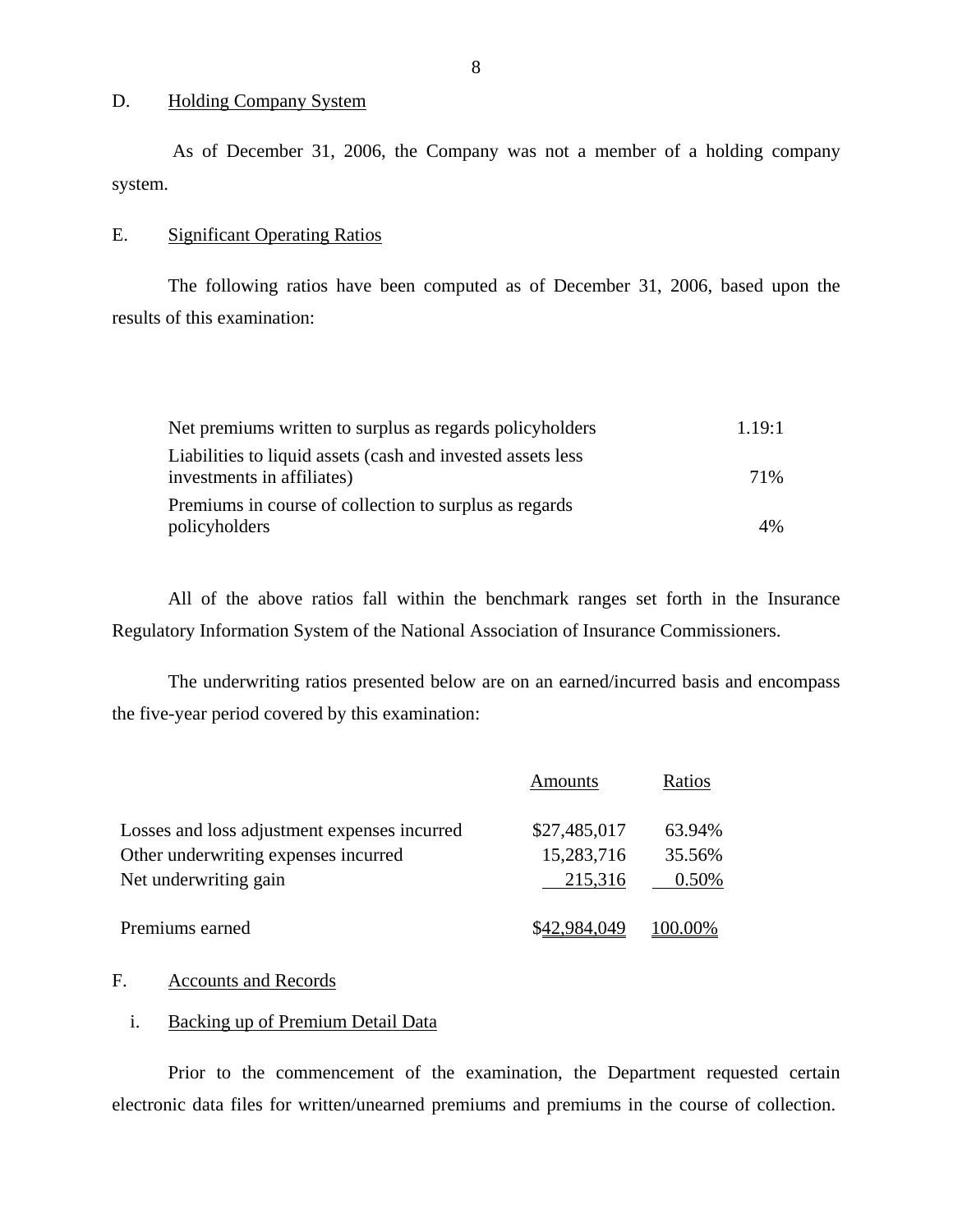### D. Holding Company System

As of December 31, 2006, the Company was not a member of a holding company system.

### E. Significant Operating Ratios

The following ratios have been computed as of December 31, 2006, based upon the results of this examination:

| Net premiums written to surplus as regards policyholders    | 1.19:1 |
|-------------------------------------------------------------|--------|
| Liabilities to liquid assets (cash and invested assets less |        |
| investments in affiliates)                                  | 71%    |
| Premiums in course of collection to surplus as regards      |        |
| policyholders                                               | $4\%$  |

All of the above ratios fall within the benchmark ranges set forth in the Insurance Regulatory Information System of the National Association of Insurance Commissioners.

The underwriting ratios presented below are on an earned/incurred basis and encompass the five-year period covered by this examination:

|                                              | Amounts      | Ratios      |
|----------------------------------------------|--------------|-------------|
| Losses and loss adjustment expenses incurred | \$27,485,017 | 63.94%      |
| Other underwriting expenses incurred         | 15,283,716   | 35.56%      |
| Net underwriting gain                        | 215,316      | 0.50%       |
| Premiums earned                              | \$42.984.049 | $(00.00\%)$ |

### F. Accounts and Records

### i. Backing up of Premium Detail Data

Prior to the commencement of the examination, the Department requested certain electronic data files for written/unearned premiums and premiums in the course of collection.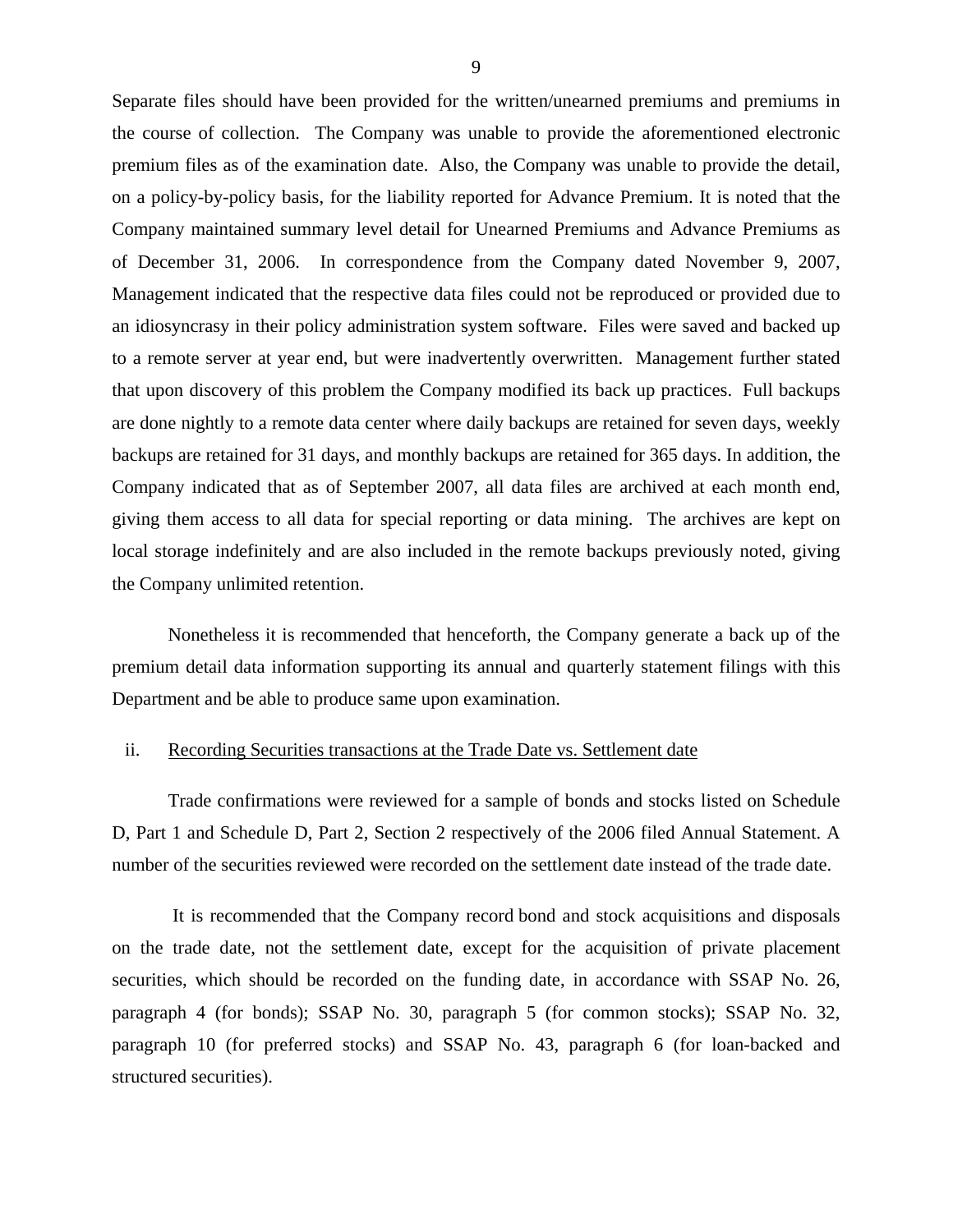Separate files should have been provided for the written/unearned premiums and premiums in the course of collection. The Company was unable to provide the aforementioned electronic premium files as of the examination date. Also, the Company was unable to provide the detail, on a policy-by-policy basis, for the liability reported for Advance Premium. It is noted that the Company maintained summary level detail for Unearned Premiums and Advance Premiums as of December 31, 2006. In correspondence from the Company dated November 9, 2007, Management indicated that the respective data files could not be reproduced or provided due to an idiosyncrasy in their policy administration system software. Files were saved and backed up to a remote server at year end, but were inadvertently overwritten. Management further stated that upon discovery of this problem the Company modified its back up practices. Full backups are done nightly to a remote data center where daily backups are retained for seven days, weekly backups are retained for 31 days, and monthly backups are retained for 365 days. In addition, the Company indicated that as of September 2007, all data files are archived at each month end, giving them access to all data for special reporting or data mining. The archives are kept on local storage indefinitely and are also included in the remote backups previously noted, giving the Company unlimited retention.

Nonetheless it is recommended that henceforth, the Company generate a back up of the premium detail data information supporting its annual and quarterly statement filings with this Department and be able to produce same upon examination.

### ii. Recording Securities transactions at the Trade Date vs. Settlement date

Trade confirmations were reviewed for a sample of bonds and stocks listed on Schedule D, Part 1 and Schedule D, Part 2, Section 2 respectively of the 2006 filed Annual Statement. A number of the securities reviewed were recorded on the settlement date instead of the trade date.

It is recommended that the Company record bond and stock acquisitions and disposals on the trade date, not the settlement date, except for the acquisition of private placement securities, which should be recorded on the funding date, in accordance with SSAP No. 26, paragraph 4 (for bonds); SSAP No. 30, paragraph 5 (for common stocks); SSAP No. 32, paragraph 10 (for preferred stocks) and SSAP No. 43, paragraph 6 (for loan-backed and structured securities).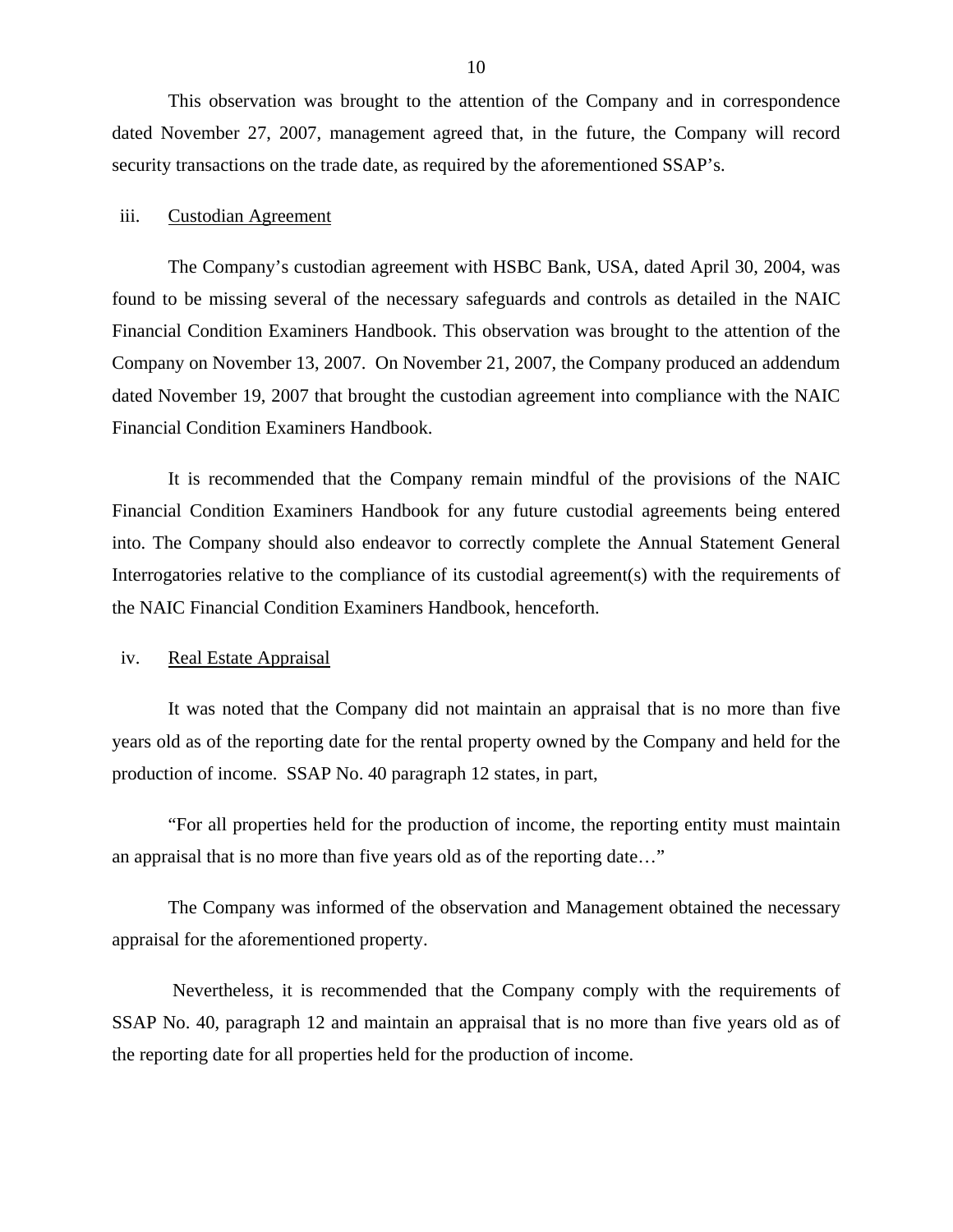This observation was brought to the attention of the Company and in correspondence dated November 27, 2007, management agreed that, in the future, the Company will record security transactions on the trade date, as required by the aforementioned SSAP's.

### iii. Custodian Agreement

The Company's custodian agreement with HSBC Bank, USA, dated April 30, 2004, was found to be missing several of the necessary safeguards and controls as detailed in the NAIC Financial Condition Examiners Handbook. This observation was brought to the attention of the Company on November 13, 2007. On November 21, 2007, the Company produced an addendum dated November 19, 2007 that brought the custodian agreement into compliance with the NAIC Financial Condition Examiners Handbook.

It is recommended that the Company remain mindful of the provisions of the NAIC Financial Condition Examiners Handbook for any future custodial agreements being entered into. The Company should also endeavor to correctly complete the Annual Statement General Interrogatories relative to the compliance of its custodial agreement(s) with the requirements of the NAIC Financial Condition Examiners Handbook, henceforth.

### iv. Real Estate Appraisal

It was noted that the Company did not maintain an appraisal that is no more than five years old as of the reporting date for the rental property owned by the Company and held for the production of income. SSAP No. 40 paragraph 12 states, in part,

"For all properties held for the production of income, the reporting entity must maintain an appraisal that is no more than five years old as of the reporting date…"

The Company was informed of the observation and Management obtained the necessary appraisal for the aforementioned property.

Nevertheless, it is recommended that the Company comply with the requirements of SSAP No. 40, paragraph 12 and maintain an appraisal that is no more than five years old as of the reporting date for all properties held for the production of income.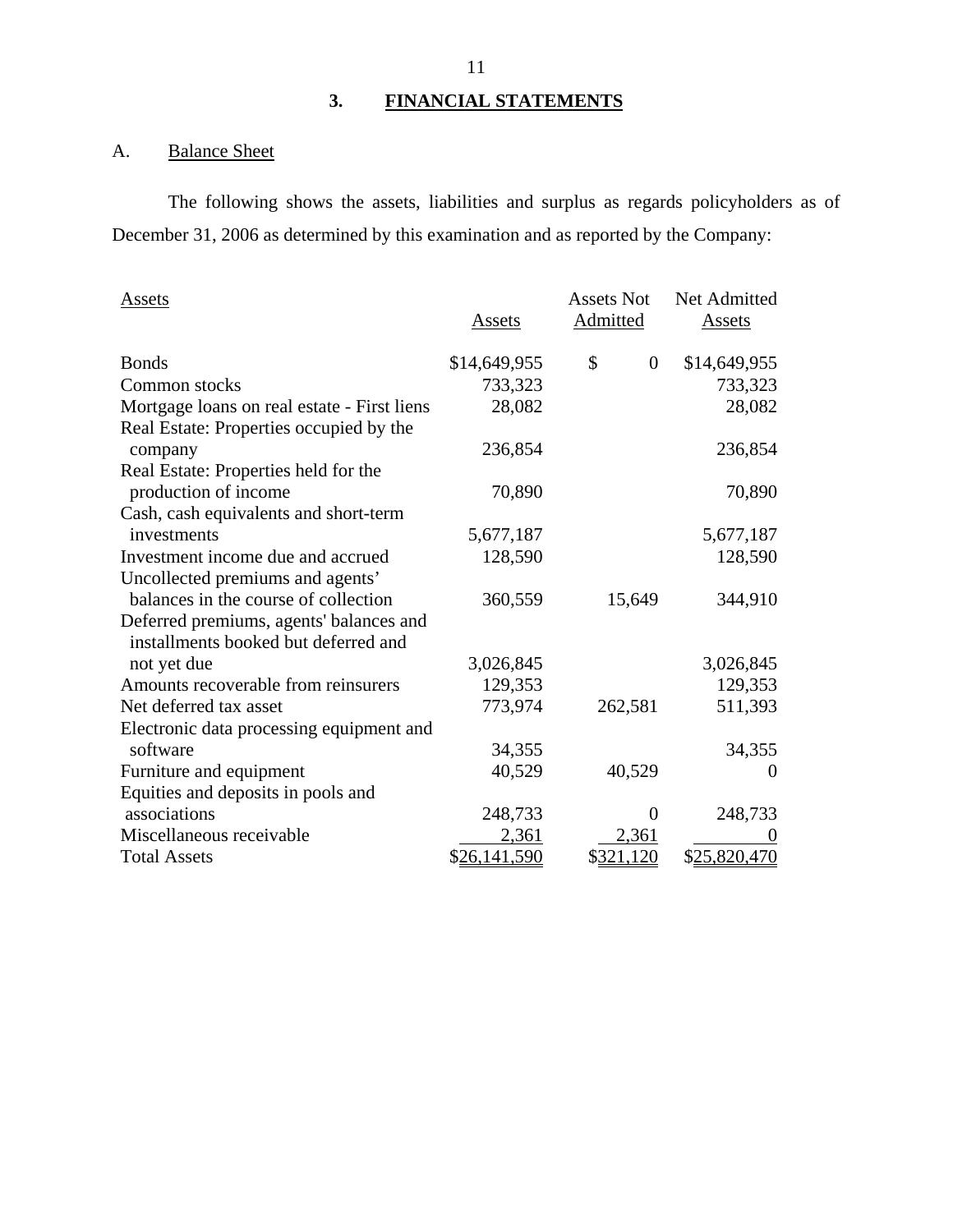# **3. FINANCIAL STATEMENTS**

# A. Balance Sheet

The following shows the assets, liabilities and surplus as regards policyholders as of December 31, 2006 as determined by this examination and as reported by the Company:

| <b>Assets</b>                               |              | <b>Assets Not</b> | Net Admitted  |
|---------------------------------------------|--------------|-------------------|---------------|
|                                             | Assets       | <b>Admitted</b>   | <u>Assets</u> |
| <b>Bonds</b>                                | \$14,649,955 | \$<br>$\theta$    | \$14,649,955  |
| Common stocks                               | 733,323      |                   | 733,323       |
| Mortgage loans on real estate - First liens | 28,082       |                   | 28,082        |
| Real Estate: Properties occupied by the     |              |                   |               |
| company                                     | 236,854      |                   | 236,854       |
| Real Estate: Properties held for the        |              |                   |               |
| production of income                        | 70,890       |                   | 70,890        |
| Cash, cash equivalents and short-term       |              |                   |               |
| investments                                 | 5,677,187    |                   | 5,677,187     |
| Investment income due and accrued           | 128,590      |                   | 128,590       |
| Uncollected premiums and agents'            |              |                   |               |
| balances in the course of collection        | 360,559      | 15,649            | 344,910       |
| Deferred premiums, agents' balances and     |              |                   |               |
| installments booked but deferred and        |              |                   |               |
| not yet due                                 | 3,026,845    |                   | 3,026,845     |
| Amounts recoverable from reinsurers         | 129,353      |                   | 129,353       |
| Net deferred tax asset                      | 773,974      | 262,581           | 511,393       |
| Electronic data processing equipment and    |              |                   |               |
| software                                    | 34,355       |                   | 34,355        |
| Furniture and equipment                     | 40,529       | 40,529            | $\Omega$      |
| Equities and deposits in pools and          |              |                   |               |
| associations                                | 248,733      | 0                 | 248,733       |
| Miscellaneous receivable                    | 2,361        | 2,361             | $\theta$      |
| <b>Total Assets</b>                         | \$26,141,590 | \$321,120         | \$25,820,470  |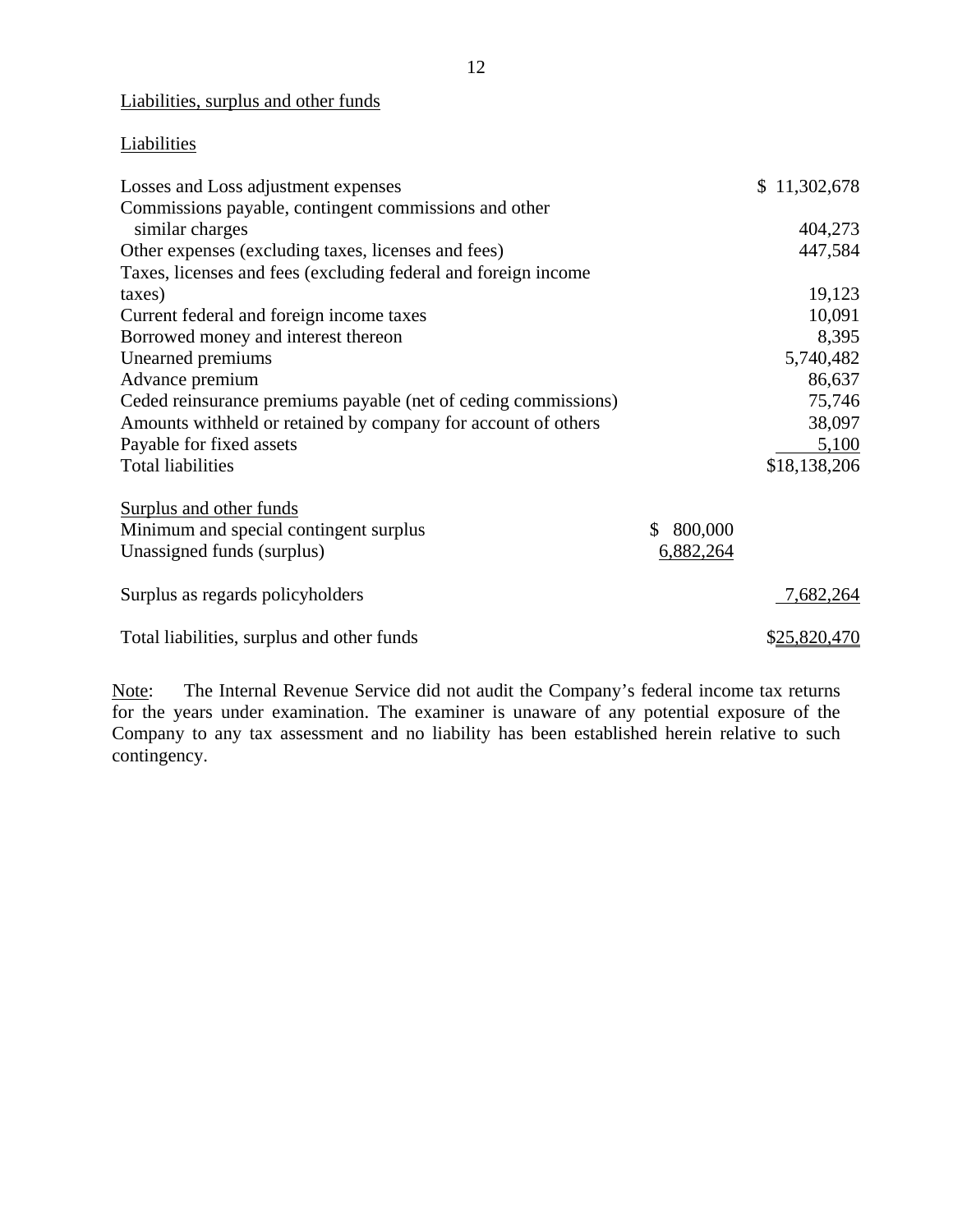## Liabilities, surplus and other funds

# **Liabilities**

| Losses and Loss adjustment expenses                            |               | \$11,302,678 |
|----------------------------------------------------------------|---------------|--------------|
| Commissions payable, contingent commissions and other          |               |              |
| similar charges                                                |               | 404,273      |
| Other expenses (excluding taxes, licenses and fees)            |               | 447,584      |
| Taxes, licenses and fees (excluding federal and foreign income |               |              |
| taxes)                                                         |               | 19,123       |
| Current federal and foreign income taxes                       |               | 10,091       |
| Borrowed money and interest thereon                            |               | 8,395        |
| Unearned premiums                                              |               | 5,740,482    |
| Advance premium                                                |               | 86,637       |
| Ceded reinsurance premiums payable (net of ceding commissions) |               | 75,746       |
| Amounts withheld or retained by company for account of others  |               | 38,097       |
| Payable for fixed assets                                       |               | 5,100        |
| <b>Total liabilities</b>                                       |               | \$18,138,206 |
| Surplus and other funds                                        |               |              |
| Minimum and special contingent surplus                         | 800,000<br>\$ |              |
| Unassigned funds (surplus)                                     | 6,882,264     |              |
| Surplus as regards policyholders                               |               | 7,682,264    |
| Total liabilities, surplus and other funds                     |               | \$25,820,470 |

Note: The Internal Revenue Service did not audit the Company's federal income tax returns for the years under examination. The examiner is unaware of any potential exposure of the Company to any tax assessment and no liability has been established herein relative to such contingency.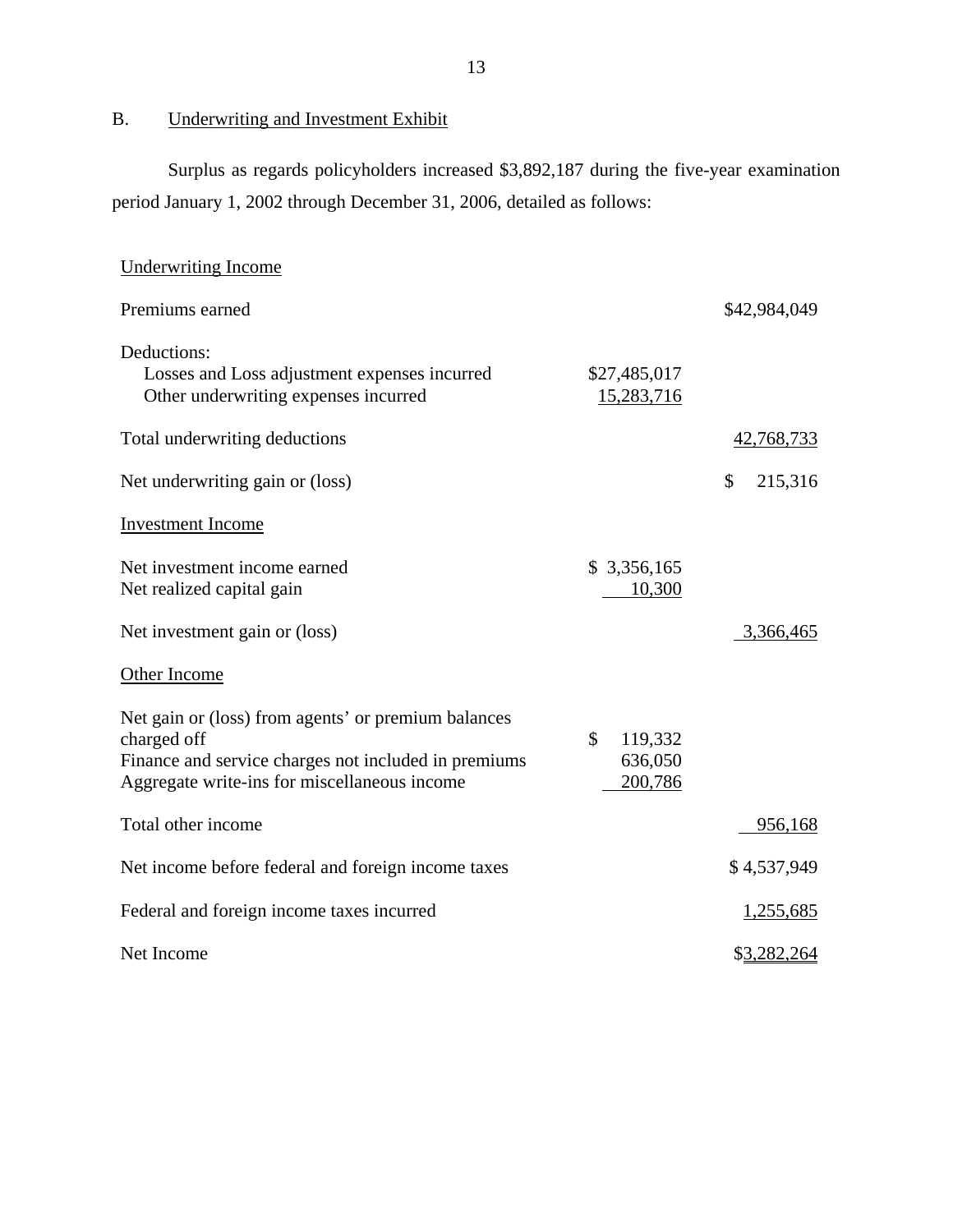B. Underwriting and Investment Exhibit

Surplus as regards policyholders increased \$3,892,187 during the five-year examination period January 1, 2002 through December 31, 2006, detailed as follows:

| <b>Underwriting Income</b>                                                                                                                                                 |                                                |                  |
|----------------------------------------------------------------------------------------------------------------------------------------------------------------------------|------------------------------------------------|------------------|
| Premiums earned                                                                                                                                                            |                                                | \$42,984,049     |
| Deductions:<br>Losses and Loss adjustment expenses incurred<br>Other underwriting expenses incurred                                                                        | \$27,485,017<br>15,283,716                     |                  |
| Total underwriting deductions                                                                                                                                              |                                                | 42,768,733       |
| Net underwriting gain or (loss)                                                                                                                                            |                                                | 215,316<br>\$    |
| <b>Investment</b> Income                                                                                                                                                   |                                                |                  |
| Net investment income earned<br>Net realized capital gain                                                                                                                  | \$3,356,165<br>10,300                          |                  |
| Net investment gain or (loss)                                                                                                                                              |                                                | 3,366,465        |
| Other Income                                                                                                                                                               |                                                |                  |
| Net gain or (loss) from agents' or premium balances<br>charged off<br>Finance and service charges not included in premiums<br>Aggregate write-ins for miscellaneous income | $\mathcal{S}$<br>119,332<br>636,050<br>200,786 |                  |
| Total other income                                                                                                                                                         |                                                | 956,168          |
| Net income before federal and foreign income taxes                                                                                                                         |                                                | \$4,537,949      |
| Federal and foreign income taxes incurred                                                                                                                                  |                                                | <u>1,255,685</u> |
| Net Income                                                                                                                                                                 |                                                | \$3,282,264      |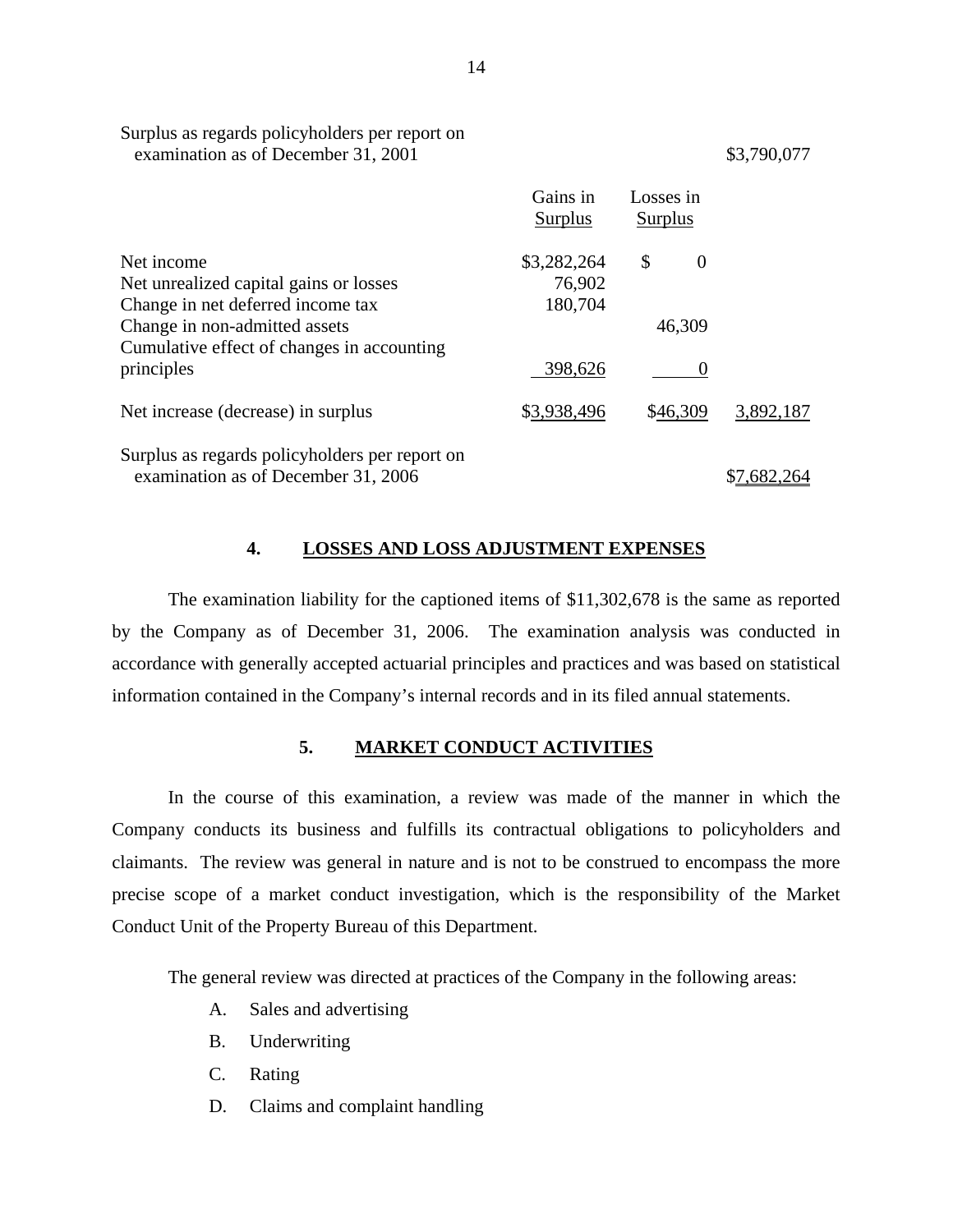|                                                | Gains in<br>Surplus | Losses in<br>Surplus |           |
|------------------------------------------------|---------------------|----------------------|-----------|
| Net income                                     | \$3,282,264         | \$<br>$\theta$       |           |
| Net unrealized capital gains or losses         | 76,902              |                      |           |
| Change in net deferred income tax              | 180,704             |                      |           |
| Change in non-admitted assets                  |                     | 46,309               |           |
| Cumulative effect of changes in accounting     |                     |                      |           |
| principles                                     | 398,626             |                      |           |
| Net increase (decrease) in surplus             | \$3,938,496         | \$46,309             | 3,892,187 |
| Surplus as regards policyholders per report on |                     |                      |           |
| examination as of December 31, 2006            |                     |                      |           |

# **4. LOSSES AND LOSS ADJUSTMENT EXPENSES**

The examination liability for the captioned items of \$11,302,678 is the same as reported by the Company as of December 31, 2006. The examination analysis was conducted in accordance with generally accepted actuarial principles and practices and was based on statistical information contained in the Company's internal records and in its filed annual statements.

### **5. MARKET CONDUCT ACTIVITIES**

In the course of this examination, a review was made of the manner in which the Company conducts its business and fulfills its contractual obligations to policyholders and claimants. The review was general in nature and is not to be construed to encompass the more precise scope of a market conduct investigation, which is the responsibility of the Market Conduct Unit of the Property Bureau of this Department.

The general review was directed at practices of the Company in the following areas:

A. Sales and advertising

<span id="page-15-0"></span>Surplus as regards policyholders per report on

- B. Underwriting
- C. Rating
- D. Claims and complaint handling

examination as of December 31, 2001 \$3,790,077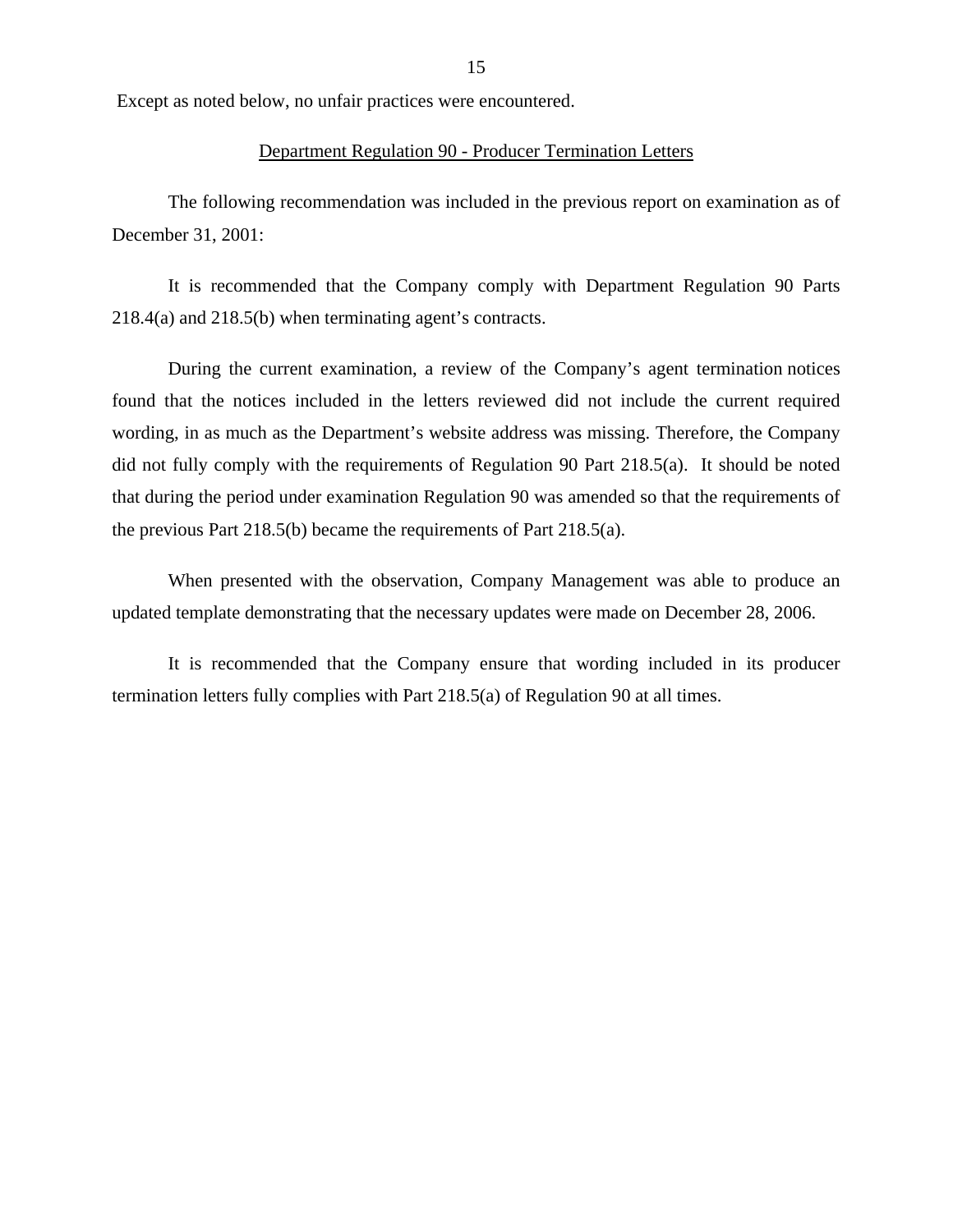Except as noted below, no unfair practices were encountered.

### Department Regulation 90 - Producer Termination Letters

The following recommendation was included in the previous report on examination as of December 31, 2001:

It is recommended that the Company comply with Department Regulation 90 Parts 218.4(a) and 218.5(b) when terminating agent's contracts.

During the current examination, a review of the Company's agent termination notices found that the notices included in the letters reviewed did not include the current required wording, in as much as the Department's website address was missing. Therefore, the Company did not fully comply with the requirements of Regulation 90 Part 218.5(a). It should be noted that during the period under examination Regulation 90 was amended so that the requirements of the previous Part 218.5(b) became the requirements of Part 218.5(a).

When presented with the observation, Company Management was able to produce an updated template demonstrating that the necessary updates were made on December 28, 2006.

It is recommended that the Company ensure that wording included in its producer termination letters fully complies with Part 218.5(a) of Regulation 90 at all times.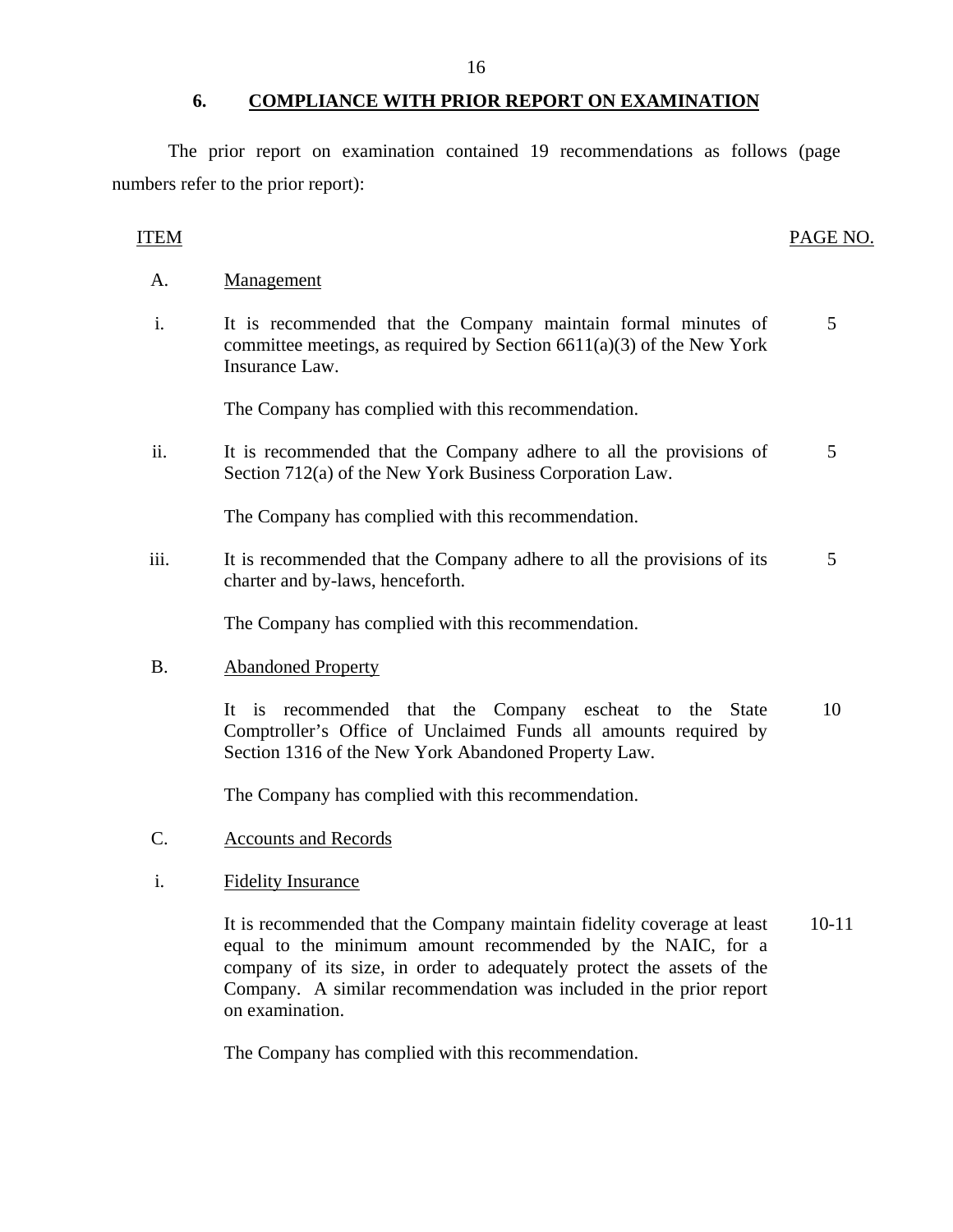### **6. COMPLIANCE WITH PRIOR REPORT ON EXAMINATION**

The prior report on examination contained 19 recommendations as follows (page numbers refer to the prior report):

### ITEM PAGE NO.

- A. Management
- i. It is recommended that the Company maintain formal minutes of committee meetings, as required by Section  $6611(a)(3)$  of the New York Insurance Law. 5

The Company has complied with this recommendation.

ii. It is recommended that the Company adhere to all the provisions of Section 712(a) of the New York Business Corporation Law. 5

The Company has complied with this recommendation.

iii. It is recommended that the Company adhere to all the provisions of its charter and by-laws, henceforth. 5

The Company has complied with this recommendation.

B. Abandoned Property

It is recommended that the Company escheat to the State Comptroller's Office of Unclaimed Funds all amounts required by Section 1316 of the New York Abandoned Property Law. 10

The Company has complied with this recommendation.

- C. Accounts and Records
- i. Fidelity Insurance

It is recommended that the Company maintain fidelity coverage at least equal to the minimum amount recommended by the NAIC, for a company of its size, in order to adequately protect the assets of the Company. A similar recommendation was included in the prior report on examination. 10-11

The Company has complied with this recommendation.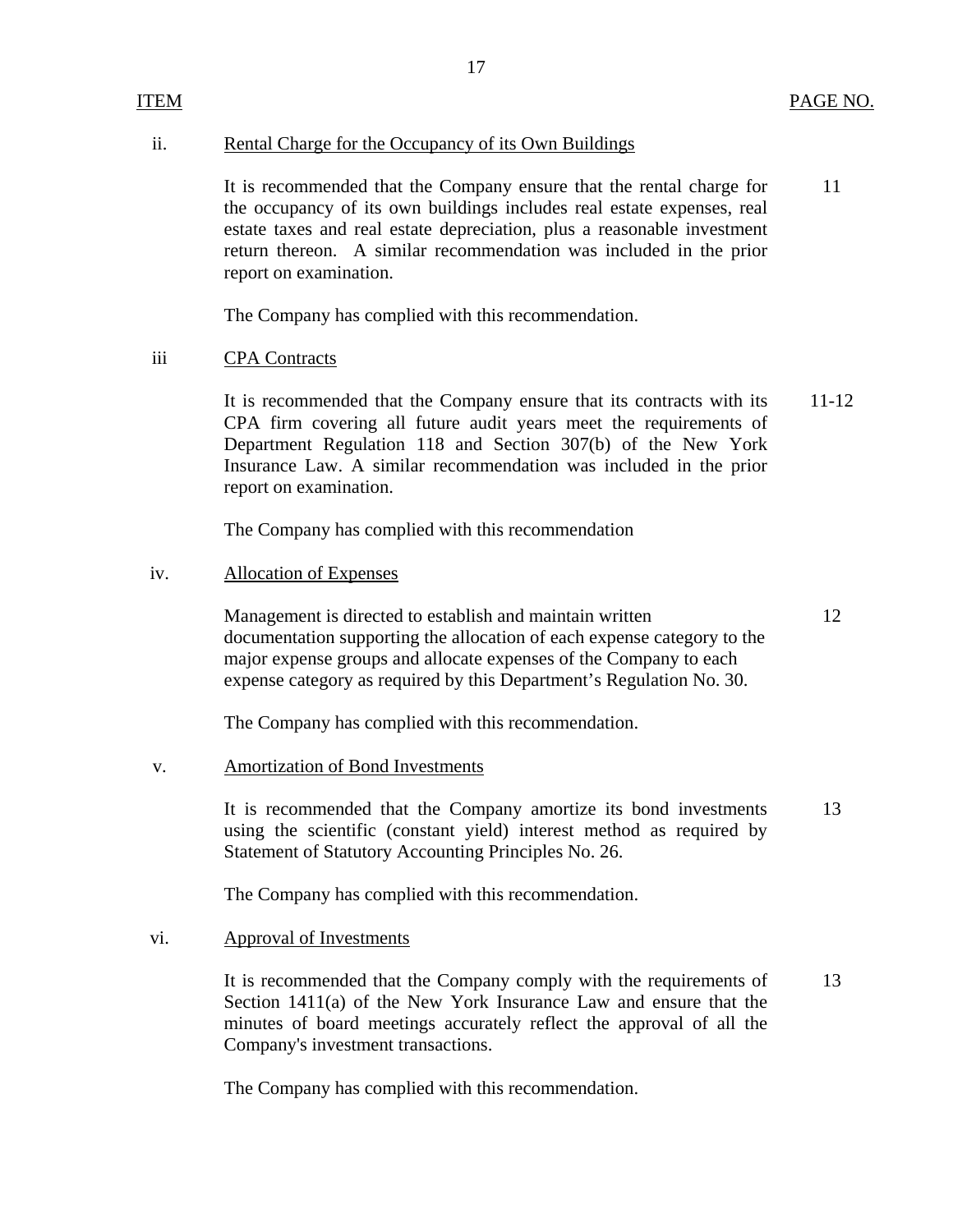### ii. Rental Charge for the Occupancy of its Own Buildings

11 It is recommended that the Company ensure that the rental charge for the occupancy of its own buildings includes real estate expenses, real estate taxes and real estate depreciation, plus a reasonable investment return thereon. A similar recommendation was included in the prior report on examination.

17

The Company has complied with this recommendation.

### iii CPA Contracts

It is recommended that the Company ensure that its contracts with its 11-12 CPA firm covering all future audit years meet the requirements of Department Regulation 118 and Section 307(b) of the New York Insurance Law. A similar recommendation was included in the prior report on examination.

The Company has complied with this recommendation

### iv. Allocation of Expenses

Management is directed to establish and maintain written 12 documentation supporting the allocation of each expense category to the major expense groups and allocate expenses of the Company to each expense category as required by this Department's Regulation No. 30.

The Company has complied with this recommendation.

### v. Amortization of Bond Investments

It is recommended that the Company amortize its bond investments 13 using the scientific (constant yield) interest method as required by Statement of Statutory Accounting Principles No. 26.

The Company has complied with this recommendation.

### vi. Approval of Investments

It is recommended that the Company comply with the requirements of Section 1411(a) of the New York Insurance Law and ensure that the minutes of board meetings accurately reflect the approval of all the Company's investment transactions. 13

The Company has complied with this recommendation.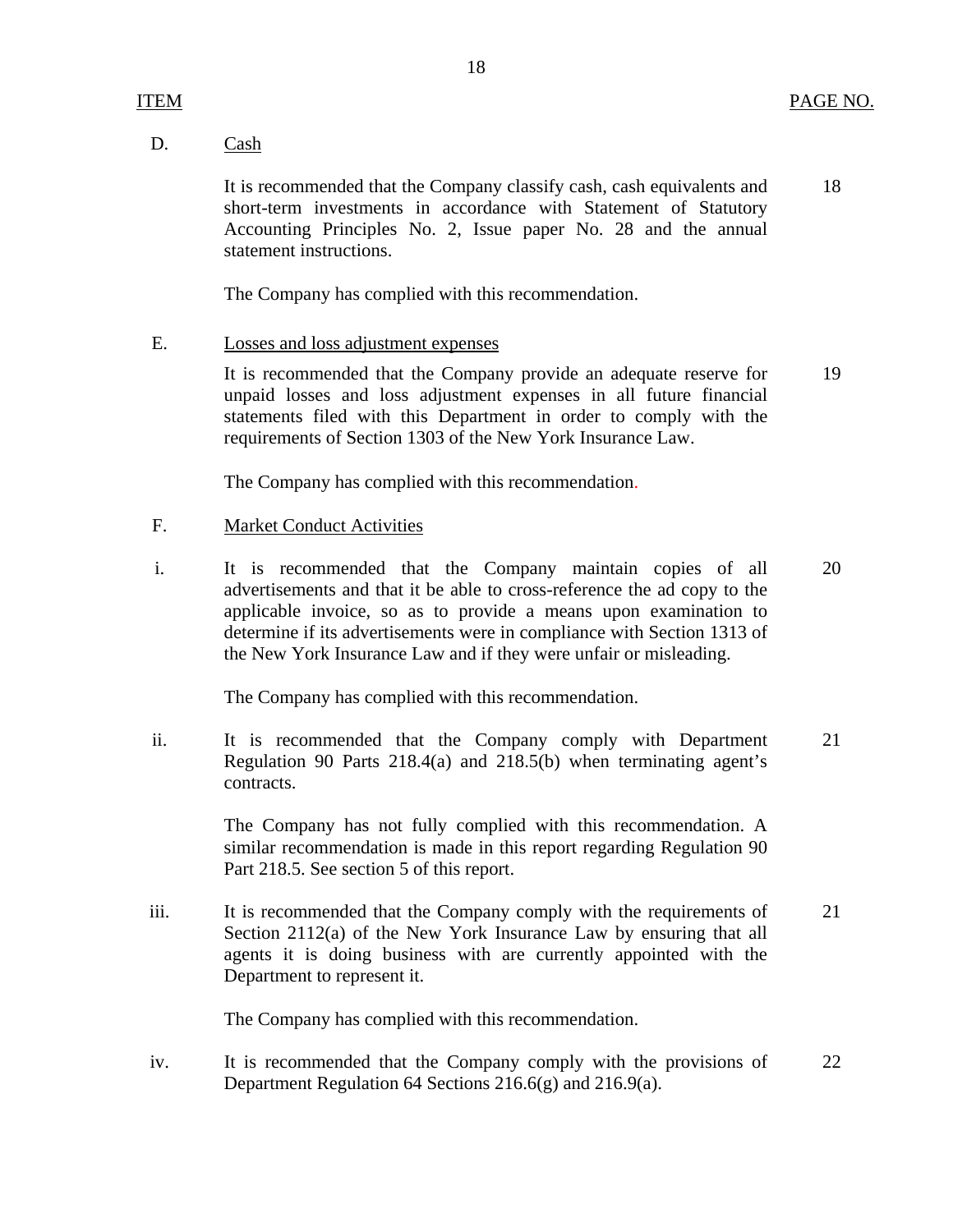### D. Cash

It is recommended that the Company classify cash, cash equivalents and 18 short-term investments in accordance with Statement of Statutory Accounting Principles No. 2, Issue paper No. 28 and the annual statement instructions.

The Company has complied with this recommendation.

### E. Losses and loss adjustment expenses

It is recommended that the Company provide an adequate reserve for 19 unpaid losses and loss adjustment expenses in all future financial statements filed with this Department in order to comply with the requirements of Section 1303 of the New York Insurance Law.

The Company has complied with this recommendation.

### F. Market Conduct Activities

i. It is recommended that the Company maintain copies of all 20 advertisements and that it be able to cross-reference the ad copy to the applicable invoice, so as to provide a means upon examination to determine if its advertisements were in compliance with Section 1313 of the New York Insurance Law and if they were unfair or misleading.

The Company has complied with this recommendation.

ii. It is recommended that the Company comply with Department 21 Regulation 90 Parts 218.4(a) and 218.5(b) when terminating agent's contracts.

> The Company has not fully complied with this recommendation. A similar recommendation is made in this report regarding Regulation 90 Part 218.5. See section 5 of this report.

iii. It is recommended that the Company comply with the requirements of 21 Section 2112(a) of the New York Insurance Law by ensuring that all agents it is doing business with are currently appointed with the Department to represent it.

The Company has complied with this recommendation.

iv. It is recommended that the Company comply with the provisions of 22 Department Regulation 64 Sections 216.6(g) and 216.9(a).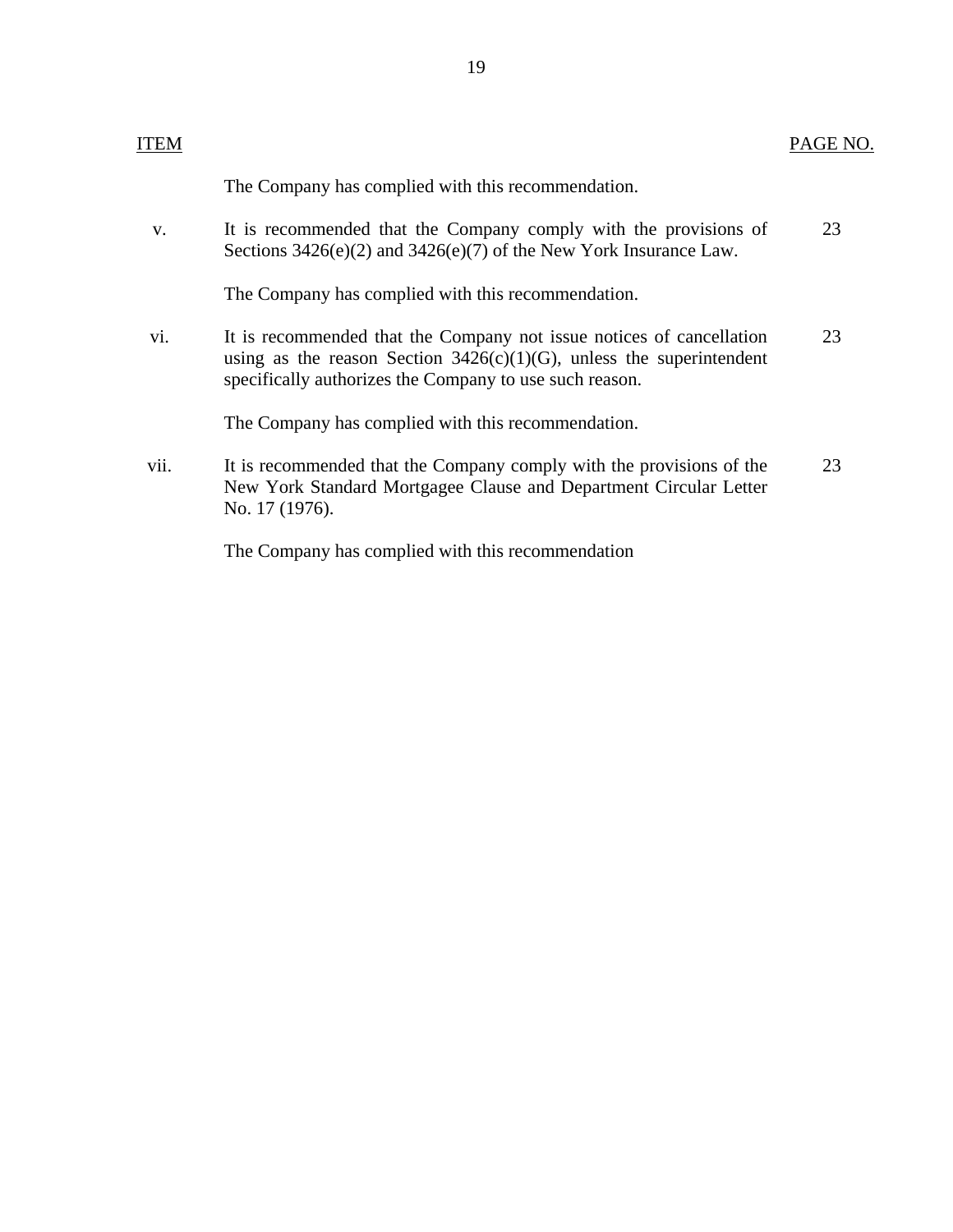| <b>ITEM</b> |                                                                                                                                                                                                            | PAGE NO. |
|-------------|------------------------------------------------------------------------------------------------------------------------------------------------------------------------------------------------------------|----------|
|             | The Company has complied with this recommendation.                                                                                                                                                         |          |
| V.          | It is recommended that the Company comply with the provisions of<br>Sections $3426(e)(2)$ and $3426(e)(7)$ of the New York Insurance Law.                                                                  | 23       |
|             | The Company has complied with this recommendation.                                                                                                                                                         |          |
| vi.         | It is recommended that the Company not issue notices of cancellation<br>using as the reason Section $3426(c)(1)(G)$ , unless the superintendent<br>specifically authorizes the Company to use such reason. | 23       |
|             | The Company has complied with this recommendation.                                                                                                                                                         |          |
| vii.        | It is recommended that the Company comply with the provisions of the<br>New York Standard Mortgagee Clause and Department Circular Letter<br>No. 17 (1976).                                                | 23       |
|             |                                                                                                                                                                                                            |          |

The Company has complied with this recommendation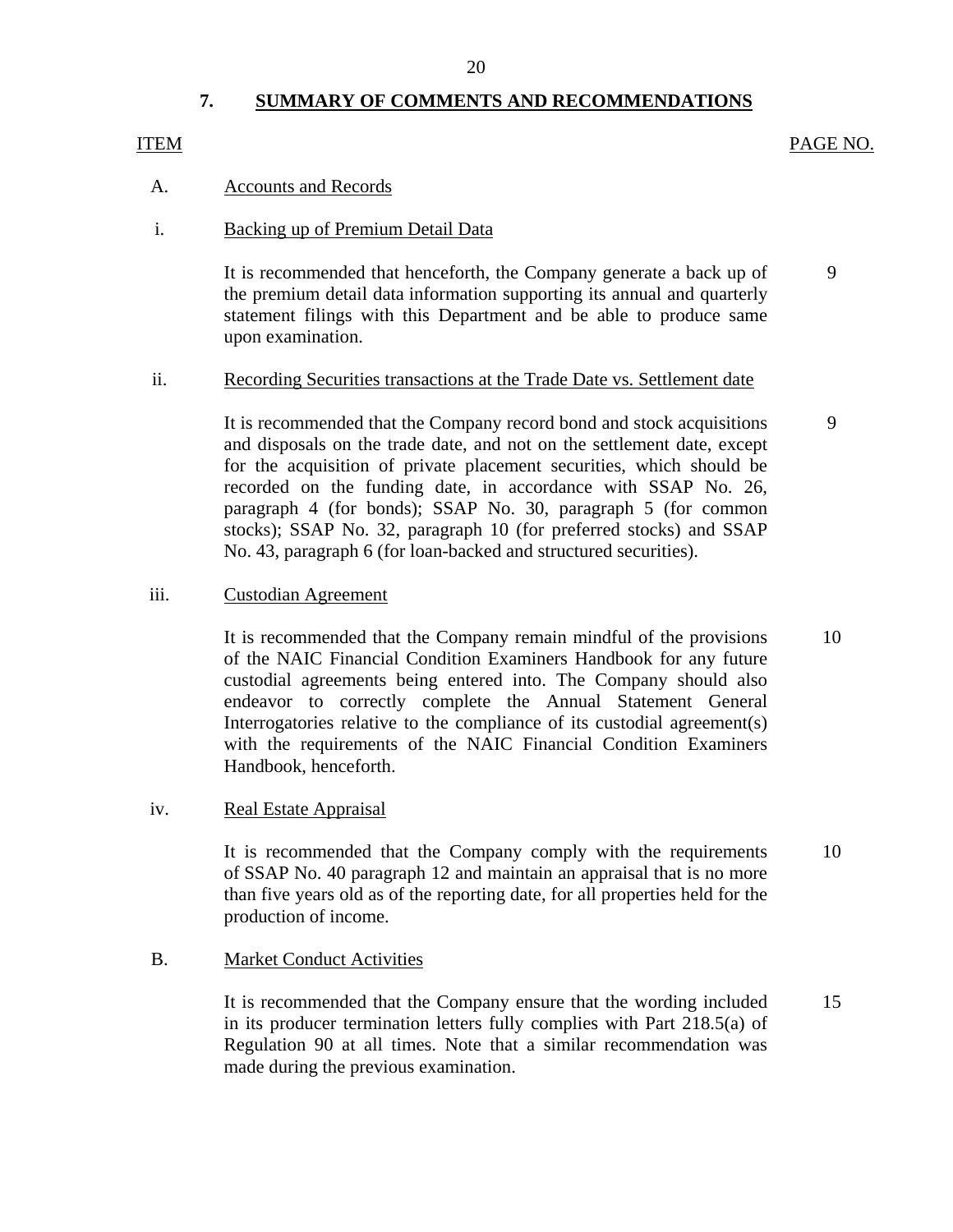### 20

## **7. SUMMARY OF COMMENTS AND RECOMMENDATIONS**

### <span id="page-21-0"></span>ITEM PAGE NO.

### A. Accounts and Records

### i. Backing up of Premium Detail Data

It is recommended that henceforth, the Company generate a back up of 9 the premium detail data information supporting its annual and quarterly statement filings with this Department and be able to produce same upon examination.

### ii. Recording Securities transactions at the Trade Date vs. Settlement date

It is recommended that the Company record bond and stock acquisitions 9 and disposals on the trade date, and not on the settlement date, except for the acquisition of private placement securities, which should be recorded on the funding date, in accordance with SSAP No. 26, paragraph 4 (for bonds); SSAP No. 30, paragraph 5 (for common stocks); SSAP No. 32, paragraph 10 (for preferred stocks) and SSAP No. 43, paragraph 6 (for loan-backed and structured securities).

### iii. Custodian Agreement

It is recommended that the Company remain mindful of the provisions 10 of the NAIC Financial Condition Examiners Handbook for any future custodial agreements being entered into. The Company should also endeavor to correctly complete the Annual Statement General Interrogatories relative to the compliance of its custodial agreement(s) with the requirements of the NAIC Financial Condition Examiners Handbook, henceforth.

### iv. Real Estate Appraisal

It is recommended that the Company comply with the requirements 10 of SSAP No. 40 paragraph 12 and maintain an appraisal that is no more than five years old as of the reporting date, for all properties held for the production of income.

### B. Market Conduct Activities

It is recommended that the Company ensure that the wording included 15 in its producer termination letters fully complies with Part 218.5(a) of Regulation 90 at all times. Note that a similar recommendation was made during the previous examination.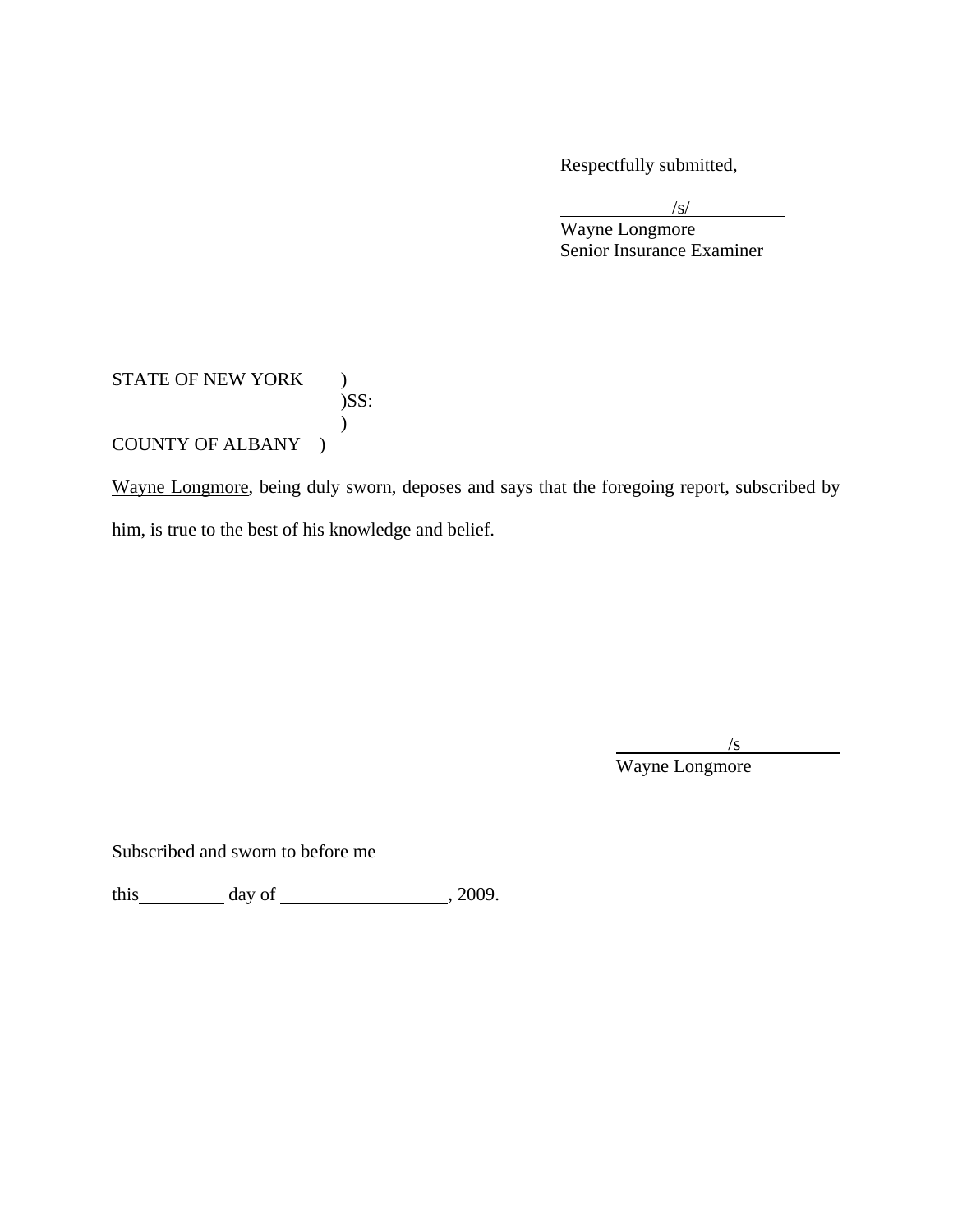Respectfully submitted,

 $\frac{|s|}{|s|}$ 

Wayne Longmore Senior Insurance Examiner

# STATE OF NEW YORK ) )SS:  $\mathcal{L}$ COUNTY OF ALBANY )

Wayne Longmore, being duly sworn, deposes and says that the foregoing report, subscribed by him, is true to the best of his knowledge and belief.

 $/$ s Wayne Longmore

Subscribed and sworn to before me

this  $\qquad \qquad$  day of  $\qquad \qquad$  , 2009.